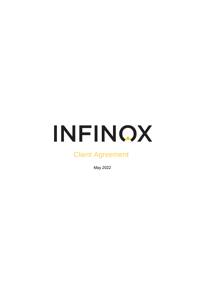# INFINOX

# Client Agreement

May 2022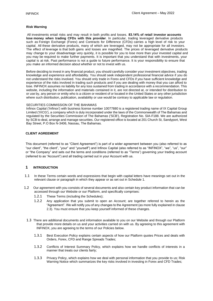# **Risk Warning**

All investments entail risks and may result in both profits and losses. **83.14% of retail investor accounts lose money when trading CFDs with this provider**. In particular, trading leveraged derivative products such as Foreign Exchange (Forex) and Contracts for Difference (CFDs) carries a high level of risk to your capital. All these derivative products, many of which are leveraged, may not be appropriate for all investors. The effect of leverage is that both gains and losses are magnified. The prices of leveraged derivative products may change to your disadvantage very quickly, it is possible for you to lose more than your invested capital and you may be required to make further payments. It is important that you understand that with investments, your capital is at risk. Past performance is not a guide to future performance. It is your responsibility to ensure that you make an informed decision about whether or not to invest with us.

Before deciding to invest in any financial product, you should carefully consider your investment objectives, trading knowledge and experience and affordability. You should seek independent professional financial advice if you do not understand the risks involved. You should only trade in Forex and CFDs if you have sufficient knowledge and experience of the risks involved in trading such products and if you are dealing with money that you can afford to lose. INFINOX assumes no liability for any loss sustained from trading in accordance with a recommendation. This website, including the information and materials contained in it, are not directed at, or intended for distribution to or use by, any person or entity who is a citizen or resident of or located in the United States or any other jurisdiction where such distribution, publication, availability or use would be contrary to applicable law or regulation.

#### SECURITIES COMMISSION OF THE BAHAMAS

Infinox Capital ('Infinox') with business license number 10077880 is a registered trading name of IX Capital Group Limited ('IXCG'), a company which is duly incorporated under the laws of the Commonwealth of The Bahamas and regulated by the Securities Commission of The Bahamas ('SCB'), Registration No. SIA-F188. We are authorized by SCB to deal, arrange and manage securities. Our registered office is located at 201 Church St, Sandyport, West Bay Street, P.O Box N-3406, Nassau, The Bahamas.

# **CLIENT AGREEMENT**

This document (referred to as "Client Agreement") is part of a wider agreement between you (also referred to as "our client", "the client", "your" and "yourself") and Infinox Capital (also referred to as "INFINOX", "we", "us", "our" or "the Company" and sets out the terms and conditions (referred to as "Terms") governing your trading account (referred to as "Account") and all trading carried out in your Account with us.

# **1 INTRODUCTION**

- 1.1 In these Terms certain words and expressions that begin with capital letters have meanings set out in the relevant clause or paragraph in which they appear or as set out in Schedule 1.
- 1.2 Our agreement with you consists of several documents and also certain key product information that can be accessed through our Website or our Platform, and specifically comprises:
	- 1.2.1 These Terms (including the Schedules);
	- 1.2.2 Any application that you submit to open an Account; are together referred to herein as the "Agreement". We will notify you of any changes to the Agreement (as more fully explained in clause 2.3). You must ensure that you keep yourself informed of these changes.
	- 1.3 There are additional documents and information available to you on our Website and through our Platform that provide more details on us and your activities carried on with us. By agreeing to this agreement with INFINOX, you are agreeing to the terms of our Policies below.
		- 1.3.1 Best Execution Policy explains certain aspects of how our Platform quotes Prices and deals with Orders, Forex, CFD and Range Spreads Trades;
		- 1.3.2 Conflicts of Interest Summary Policy, which explains how we handle conflicts of interests in a manner that treats our clients fairly;
		- 1.3.3 Privacy Policy, which explains how we deal with personal information that you provide to us; Risk Warning Notice which summarizes the key risks involved in investing in Forex and CFD Trades;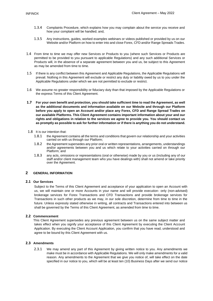- 1.3.4 Complaints Procedure, which explains how you may complain about the service you receive and how your complaint will be handled; and,
- 1.3.5 Any instructions, guides, worked examples webinars or videos published or provided by us on our Website and/or Platform on how to enter into and close Forex, CFD and/or Range Spreads Trades.
- 1.4 From time to time we may offer new Services or Products to you (where such Services or Products are permitted to be provided to you pursuant to applicable Regulations) and any such additional Services or Products will, in the absence of a separate agreement between you and us, be subject to this Agreement as may be amended from time to time.
- 1.5 If there is any conflict between this Agreement and Applicable Regulations, the Applicable Regulations will prevail. Nothing in this Agreement will exclude or restrict any duty or liability owed by us to you under the Applicable Regulations under which we are not permitted to exclude or restrict.
- 1.6 We assume no greater responsibility or fiduciary duty than that imposed by the Applicable Regulations or the express Terms of this Client Agreement.
- **1.7 For your own benefit and protection, you should take sufficient time to read the Agreement, as well as the additional documents and information available on our Website and through our Platform before you apply to open an Account and/or place any Forex, CFD and Range Spread Trades on our available Platforms. This Client Agreement contains important information about your and our rights and obligations in relation to the services we agree to provide you. You should contact us as promptly as possible to ask for further information or if there is anything you do not understand.**
- 1.8 It is our intention that:
	- 1.8.1 the Agreement contains all the terms and conditions that govern our relationship and your activities carried on with us through our Platform;
	- 1.8.2 the Agreement supersedes any prior oral or written representations, arrangements, understandings and/or agreements between you and us which relate to your activities carried on through our Platform; and
	- 1.8.3 any acts, omissions or representations (oral or otherwise) made by you or us (including any of our staff and/or client management team who you have dealings with) shall not amend or take priority over the Agreement.

# **2 GENERAL INFORMATION**

# **2.1 Our Services**

Subject to the Terms of this Client Agreement and acceptance of your application to open an Account with us, we will maintain one or more Accounts in your name and will provide execution- only (non-advised) brokerage services for Forex Transactions and CFD Transactions and provide brokerage services for Transactions in such other products as we may, in our sole discretion, determine from time to time in the future. Unless expressly stated otherwise in writing, all contracts and Transactions entered into between us shall be governed by the Terms of this Client Agreement, as amended from time to time.

# **2.2 Commencement**

This Client Agreement supersedes any previous agreement between us on the same subject matter and takes effect when you signify your acceptance of this Client Agreement by executing the Client Account Application. By executing the Client Account Application, you confirm that you have read, understood and agree to be bound by this Client Agreement with us.

# **2.3 Amendments**

2.3.1 We may amend any part of this Agreement by giving written notice to you. Any amendments we make must be in accordance with Applicable Regulations. We will only make amendments for a valid reason. Any amendments to the Agreement that we give you notice of, will take effect on the date specified in our notice to you, which will be at least ten (10) Business Days after we send our notice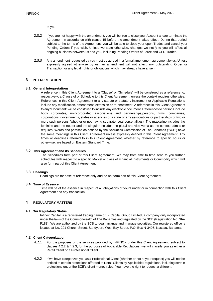to you.

- 2.3.2 If you are not happy with the amendment, you will be free to close your Account and/or terminate the Agreement in accordance with clause 15 before the amendment takes effect. During that period, subject to the terms of the Agreement, you will be able to close your open Trades and cancel your Pending Orders if you wish. Unless we state otherwise, changes we notify to you will affect all ongoing business between us and you, including Pending Orders of Forex and CFD Trades.
- 2.3.3 Any amendment requested by you must be agreed in a formal amendment agreement by us. Unless expressly agreed otherwise by us, an amendment will not affect any outstanding Order or Transaction or any legal rights or obligations which may already have arisen.

# **3 INTERPRETATION**

# **3.1 General Interpretations**

A reference in this Client Agreement to a "Clause" or "Schedule" will be construed as a reference to, respectively, a Clause of or Schedule to this Client Agreement, unless the context requires otherwise. References in this Client Agreement to any statute or statutory instrument or Applicable Regulations include any modification, amendment, extension or re-enactment. A reference in this Client Agreement to any "Document" will be construed to include any electronic document. References to persons include body corporates, unincorporated associations and partnerships/persons, firms, companies, corporations, governments, states or agencies of a state or any associations or partnerships of two or more such persons (whether or not having separate legal personalities). The masculine includes the feminine and the neuter and the singular includes the plural and vice versa as the context admits or requires. Words and phrases as defined by the Securities Commission of The Bahamas ('SCB') have the same meanings in this Client Agreement unless expressly defined in this Client Agreement. Any times or deadlines referred to in this Client Agreement, whether by reference to specific hours or otherwise, are based on Eastern Standard Time.

#### **3.2 This Agreement and its Schedules**

The Schedules form part of this Client Agreement. We may from time to time send to you further schedules with respect to a specific Market or class of Financial Instruments or Commodity which will also form part of this Client Agreement.

#### **3.3 Headings**

Headings are for ease of reference only and do not form part of this Client Agreement.

#### **3.4 Time of Essence**

Time will be of the essence in respect of all obligations of yours under or in connection with this Client Agreement and any transaction.

# **4 REGULATORY MATTERS**

#### **4.1 Our Regulatory Status**

Infinox Capital is a registered trading name of IX Capital Group Limited, a company duly incorporated under the laws of the Commonwealth of The Bahamas and regulated by the SCB (Registration No. SIA-F188). We are authorized by the SCB to deal, arrange and manage securities. Our registered office is located at No. 201 Church Street, Sandyport, West Bay Street, P.O. Box N-3406, Nassau, Bahamas

# **4.2 Client Categorization**

- 4.2.1 For the purposes of the services provided by INFINOX under this Client Agreement, subject to clauses 4.2.2 & 4.2.3, for the purposes of Applicable Regulations, we will classify you as either a Retail Client or a Professional Client.
- 4.2.2 If we have categorized you as a Professional Client (whether or not at your request) you will not be entitled to certain protections afforded to Retail Clients by Applicable Regulations, including certain protections under the SCB's client money rules. You have the right to request a different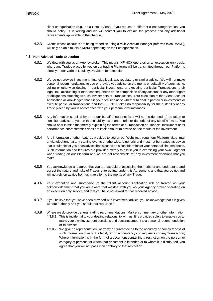client categorization (e.g., as a Retail Client). If you request a different client categorization, you should notify us in writing and we will contact you to explain the process and any additional requirements applicable to the change.

4.2.3 Clients whose accounts are being traded on using a Multi Account Manager (referred to as "MAM"), will only be able to join a MAM depending on their categorization.

### **4.3 Non-Advised Trade Execution**

- 4.3.1 We deal with you as an Agency broker. This means INFINOX operates on an execution-only basis, where any Trades placed by you on our trading Platforms will be transmitted through our Platforms directly to our various Liquidity Providers for execution.
- 4.3.2 We do not provide investment, financial, legal, tax, regulatory or similar advice. We will not make personal recommendations to you or provide you advice on the merits or suitability of purchasing, selling or otherwise dealing in particular investments or executing particular Transactions, their legal, tax, accounting or other consequences or the composition of any account or any other rights or obligations attaching to such investments or Transactions. Your execution of the Client Account Application acknowledges that it is your decision as to whether to deal in particular investments or execute particular transactions and that INFINOX takes no responsibility for the suitability of any Trade placed by you in accordance with your personal circumstances.
- 4.3.3 Any information supplied by or on our behalf should not (and will not be deemed to) be taken to constitute advice to you on the suitability, risks and merits or demerits of any specific Trade. You should bear in mind that merely explaining the terms of a Transaction or Financial Instrument or its performance characteristics does not itself amount to advice on the merits of the investment.
- 4.3.4 Any information or other features provided to you on our Website, through our Platform, via e- mail or via telephone, at any training events or otherwise, is generic and must not be treated as advice that is suitable for you or as advice that is based on a consideration of your personal circumstances. Such information and features are provided merely to assist you in exercising your own judgment when trading on our Platform and we are not responsible for any investment decisions that you make.
- 4.3.5 You acknowledge and agree that you are capable of assessing the merits of and understand and accept the nature and risks of Trades entered into under this Agreement, and that you do not and will not rely on advice from us in relation to the merits of any Trade.
- 4.3.6 Your execution and submission of the Client Account Application will be treated as your acknowledgement that you are aware that we deal with you as your Agency broker operating on an execution only service and that you have not asked for nor received advice.
- 4.3.7 If you believe that you have been provided with investment advice, you acknowledge that it is given without authority and you should not rely upon it.
- 4.3.8 Where we do provide general trading recommendations, Market commentary or other information: 4.3.8.1 This is incidental to your dealing relationship with us. It is provided solely to enable you to make your own investment decisions and does not amount to a personal recommendation or to advise;
	- 4.3.8.2 We give no representation, warranty or guarantee as to the accuracy or completeness of such information or as to the legal, tax or accountancy consequences of any Transaction; Where information is in the form of a document containing a restriction on the person or category of persons for whom that document is intended or to whom it is distributed, you agree that you will not pass it on contrary to that restriction.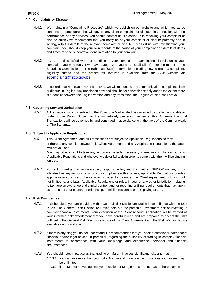# **4.4 Complaints or Dispute**

- 4.4.1 We maintain a 'Complaints Procedure', which we publish on our website and which you agree contains the procedures that will govern any client complaints or disputes in connection with the performance of any services, you should contact us. To assist us in resolving your complaint or dispute quickly we recommend that you notify us of your complaint or dispute promptly and in writing, with full details of the relevant complaint or dispute. To assist us with investigating your complaint, you should keep your own records of the cause of your complaint and details of dates and times of specific contraventions in relation to your complaint.
- 4.4.2 If you are dissatisfied with our handling of your complaint and/or findings in relation to your complaint, you may (only if we have categorized you as a Retail Client) refer the matter to the Securities Commission of The Bahamas (SCB). Information including how to make a complaint, eligibility criteria and the procedures involved is available from the SCB website at: [ecomplaints@scb.gov.bs](mailto:ecomplaints@scb.gov.bs)
- 4.4.3 In accordance with clause 4.4.1 and 4.4.2, we will respond to any communication, complaint, claim or dispute in English. Any translation provided shall be for convenience only and to the extent there is a conflict between the English version and any translation, the English version shall prevail.

# **4.5 Governing Law and Jurisdiction**

4.5.1 A Transaction which is subject to the Rules of a Market shall be governed by the law applicable to it under those Rules. Subject to the immediately preceding sentence, this Agreement and all Transactions will be governed by and construed in accordance with the laws of the Commonwealth of The Bahamas.

#### **4.6 Subject to Applicable Regulations**

4.6.1 This Client Agreement and all Transactions are subject to Applicable Regulations so that: If there is any conflict between this Client Agreement and any Applicable Regulations, the latter will prevail; and,

We may take or omit to take any action we consider necessary to ensure compliance with any Applicable Regulations and whatever we do or fail to do in order to comply with them will be binding on you.

4.6.2 You acknowledge that you are solely responsible for, and that neither INFINOX nor any of its affiliates has any responsibility for, your compliance with any laws, Applicable Regulations or rules applicable to your use of the services provided by us under this Client Agreement including, but not limited to, any laws, Applicable Regulations or rules, in your or any other jurisdiction, relating to tax, foreign exchange and capital control, and for reporting or filing requirements that may apply as a result of your country of citizenship, domicile, residence or tax- paying status.

# **4.7 Risk Disclosures**

- 4.7.1 In Schedule 2, you are provided with a General Risk Disclosure Notice in compliance with the SCB Rules. The General Risk Disclosure Notice sets out the particular investment risk of investing in complex financial instruments. Your execution of the Client Account Application will be treated as your informed acknowledgment that you have carefully read and are prepared to accept the risks outlined in the General Risk Disclosure Notice of this Client Agreement and the Risk Warning Notice available on our website.
- 4.7.2 If there is anything you do not understand it is recommended that you seek professional independent financial and/or legal advice, in particular, regarding the suitability of trading in complex financial instruments in accordance with your knowledge and experience, personal and financial circumstances.
- 4.7.3 You should note, in particular, that trading on Margin involves significant risks and that:
	- 4.7.3.1 you can lose more than your Initial Margin and in certain circumstances your losses may be unlimited;
	- 4.7.3.2 if the Market moves against your position or Margin rates are increased there may be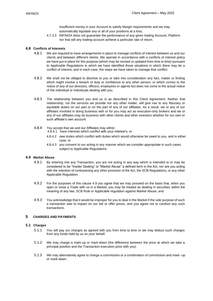insufficient money in your Account to satisfy Margin requirements and we may automatically liquidate any or all of your positions at a loss;

4.7.3.3 INFINOX does not guarantee the performance of any given trading Account, Platform nor that will any trading account achieve a particular rate of return.

# **4.8 Conflicts of Interests**

- 4.8.1 We are required to have arrangements in place to manage conflicts of interest between us and our clients and between different clients. We operate in accordance with a conflicts of interest policy we have put in place for this purpose (which may be revised or updated from time to time) pursuant to Applicable Regulations in which we have identified those situations in which there may be a conflict of interest, and in each case, the steps we have taken to manage that conflict.
- 4.8.2 We shall not be obliged to disclose to you or take into consideration any fact, matter or finding which might involve a breach of duty or confidence to any other person, or which comes to the notice of any of our directors, officers, employees or agents but does not come to the actual notice of the individual or individuals dealing with you.
- 4.8.3 The relationship between you and us is as described in this Client Agreement. Neither that relationship, nor the services we provide nor any other matter, will give rise to any fiduciary or equitable duties on our part or on the part of any of our affiliates. As a result, we or any of our affiliates involved in doing business with or for you may act as execution-only brokers and we or any of our affiliates may do business with other clients and other investors whether for our own or such affiliate's own account.
- 4.8.4 You accept that we and our Affiliates may either:
	- 4.8.4.1 have interests which conflict with your interest's, or
	- 4.8.4.2 owe duties which conflict with duties which would otherwise be owed to you, and in either case; or
	- 4.8.4.3 you consent to our acting in any manner which we consider appropriate in such cases subject to Applicable Regulations.

#### **4.9 Market Abuse**

- 4.9.1 By entering into any Transaction, you are not acting in any way which is intended to or may be considered to be "Insider Dealing" or "Market Abuse" a defined term in the Act, nor are you acting with the intention of contravening any other provision of the Act, the SCB Regulations, or any other Applicable Regulation.
- 4.9.2 For the purposes of this clause 4.9 you agree that we may proceed on the basis that, when you open or close a Trade with us in a Market, you may be treated as dealing in securities within the meaning of any law, SCB Rule or Applicable regulation against Market Abuse; and
- 4.9.3 You acknowledge that it would be improper for you to deal in the Market if the sole purpose of such a transaction was to impact on our bid or offer prices, and you agree not to conduct any such transactions.

# **5 CHARGES AND PAYMENTS**

#### **5.1 Charges**

- 5.1.1 You will pay our charges as agreed with you from time to time or we may deduct such charges from any funds held by us on your behalf.
- 5.1.2 We may charge a mark-up or mark-down (the difference between the price at which we take a principal position and the Transaction execution price with you).
- 5.1.3 We may alternatively agree to charge a commission or a combination of commission and mark- up or mark-down.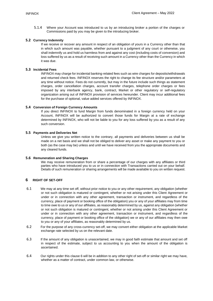5.1.4 Where your Account was introduced to us by an introducing broker a portion of the charges or Commissions paid by you may be given to the introducing broker.

# **5.2 Currency Indemnity**

If we receive or recover any amount in respect of an obligation of yours in a Currency other than that in which such amount was payable, whether pursuant to a judgment of any court or otherwise, you shall indemnify us and hold us harmless from and against any cost (including costs of conversion) and loss suffered by us as a result of receiving such amount in a Currency other than the Currency in which it was due.

# **5.3 Incidental Fees**

INFINOX may charge for incidental banking-related fees such as wire charges for deposits/withdrawals and returned check fees. INFINOX reserves the right to change its fee structure and/or parameters at any time without notice. Fees do not currently, but may in the future include such things as statement charges, order cancellation charges, account transfer charges, telephone order charges or fees imposed by any interbank agency, bank, contract, Market or other regulatory or self-regulatory organization arising out of INFINOX provision of services hereunder. Client may incur additional fees for the purchase of optional, value added services offered by INFINOX.

#### **5.4 Conversion of Foreign Currency Amounts**

If you direct INFINOX to fund Margin from funds denominated in a foreign currency held on your Account, INFINOX will be authorized to convert those funds for Margin at a rate of exchange determined by INFINOX, who will not be liable to you for any loss suffered by you as a result of any such conversion.

#### **5.5 Payments and Deliveries Net**

Unless we give you written notice to the contrary, all payments and deliveries between us shall be made on a net basis and we shall not be obliged to deliver any asset or make any payment to you or both (as the case may be) unless and until we have received from you the appropriate documents and any cleared funds.

#### **5.6 Remuneration and Sharing Charges**

We may receive remuneration from or share a percentage of our charges with any affiliates or third parties who have introduced you to us or in connection with Transactions carried out on your behalf. Details of such remuneration or sharing arrangements will be made available to you on written request.

# **6 RIGHT OF SET-OFF**

- 6.1 We may at any time set off, without prior notice to you or any other requirement, any obligation (whether or not such obligation is matured or contingent, whether or not arising under this Client Agreement or under or in connection with any other agreement, transaction or instrument, and regardless of the currency, place of payment or booking office of the obligation) you or any of your affiliates may from time to time owe to us or any of our affiliates, as reasonably determined by us, against any obligation (whether or not such obligation is matured or contingent, whether or not arising under this Client Agreement or under or in connection with any other agreement, transaction or instrument, and regardless of the currency, place of payment or booking office of the obligation) we or any of our affiliates may then owe to you or any of your affiliates, as reasonably determined by us.
- 6.2 For the purpose of any cross-currency set-off, we may convert either obligation at the applicable Market exchange rate selected by us on the relevant date.
- 6.3 If the amount of any obligation is unascertained, we may in good faith estimate that amount and set off in respect of the estimate, subject to us accounting to you when the amount of the obligation is ascertained.
- 6.4 Our rights under this clause 6 will be in addition to any other right of set-off or similar right we may have, whether as a matter of contract, under common law, or otherwise.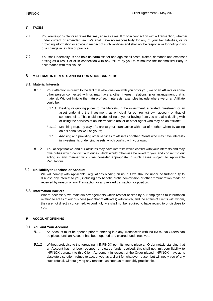# **7 TAXES**

- 7.1 You are responsible for all taxes that may arise as a result of or in connection with a Transaction, whether under current or amended law. We shall have no responsibility for any of your tax liabilities, or for providing information or advice in respect of such liabilities and shall not be responsible for notifying you of a change in tax law or practice.
- 7.2 You shall indemnify us and hold us harmless for and against all costs, claims, demands and expenses arising as a result of or in connection with any failure by you to reimburse the Indemnified Party in accordance with this clause.

# **8 MATERIAL INTERESTS AND INFORMATION BARRIERS**

# **8.1 Material Interests**

- 8.1.1 Your attention is drawn to the fact that when we deal with you or for you, we or an Affiliate or some other person connected with us may have another interest, relationship or arrangement that is material. Without limiting the nature of such interests, examples include where we or an Affiliate could be:
	- 8.1.1.1 Dealing or quoting prices to the Markets, in the investment, a related investment or an asset underlying the investment, as principal for our (or its) own account or that of someone else. This could include selling to you or buying from you and also dealing with or using the services of an intermediate broker or other agent who may be an affiliate;
	- 8.1.1.2 Matching (e.g., by way of a cross) your Transaction with that of another Client by acting on his behalf as well as yours;
	- 8.1.1.3 Advising and providing other services to affiliates or other Clients who may have interests in investments underlying assets which conflict with your own.
- 8.1.2 You accept that we and our affiliates may have interests which conflict with your interests and may owe duties which conflict with duties which would otherwise be owed to you, and consent to our acting in any manner which we consider appropriate in such cases subject to Applicable Regulations.

#### 8.2 **No liability to Disclose or Accoun**t

We will comply with Applicable Regulations binding on us, but we shall be under no further duty to disclose any interest to you, including any benefit, profit, commission or other remuneration made or received by reason of any Transaction or any related transaction or position.

# **8.3 Information Barriers**

Where necessary we maintain arrangements which restrict access by our employees to information relating to areas of our business (and that of Affiliates) with which, and the affairs of clients with whom, they are not directly concerned. Accordingly, we shall not be required to have regard to or disclose to you.

# **9 ACCOUNT OPENING**

# **9.1 You and Your Account**

- 9.1.1 An Account must be opened prior to entering into any Transaction with INFINOX. No Orders can be placed until an Account has been opened and cleared funds received.
- 9.1.2 Without prejudice to the foregoing, if INFINOX permits you to place an Order notwithstanding that an Account has not been opened, or cleared funds received, this shall not limit your liability to INFINOX pursuant to this Client Agreement in respect of the Order placed. INFINOX may, at its absolute discretion, refuse to accept you as a client for whatever reason but will notify you of any such refusal, without giving any reasons, as soon as reasonably practicable.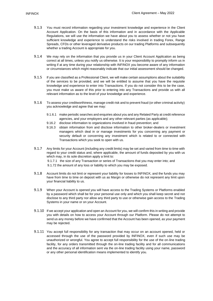- 9.1.3 You must record information regarding your investment knowledge and experience in the Client Account Application. On the basis of this information and in accordance with the Applicable Regulations, we will use the information we have about you to assess whether or not you have sufficient knowledge and experience to understand the risks involved in trading Forex, Range Spreads, CFDs or other leveraged derivative products on our trading Platforms and subsequently whether a trading Account is appropriate for you.
- 9.1.4 We may rely on the information that you provide us in your Client Account Application as being correct at all times, unless you notify us otherwise. It is your responsibility to promptly inform us in writing if at any time during your relationship with INFINOX you become aware of any information or circumstances which might reasonably indicate that our initial assessment should be changed.
- 9.1.5 If you are classified as a Professional Client, we will make certain assumptions about the suitability of the services to be provided, and we will be entitled to assume that you have the requisite knowledge and experience to enter into Transactions. If you do not consider this to be the case, you must make us aware of this prior to entering into any Transactions and provide us with all relevant information as to the level of your knowledge and experience.
- 9.1.6 To assess your creditworthiness, manage credit risk and to prevent fraud (or other criminal activity) you acknowledge and agree that we may:
	- 9.1.6.1 make periodic searches and enquiries about you and any Related Party at credit reference agencies, and your employers and any other relevant parties (as applicable);
	- 9.16.2 disclose information to organizations involved in fraud prevention; and
	- 9.16.3 obtain information from and disclose information to other broker-dealers or investment managers which deal in or manage investments for you concerning any payment or security default or concerning any investment which is related to or connected with Transactions which you seek to open with us.
- 9.1.7 Any limits for your Account (including any credit limits) may be set and varied from time to time with regard to your credit status and, where applicable, the amount of funds deposited by you with us which may, in its sole discretion apply a limit to: 9.1.7.1 the size of any Transaction or series of Transactions that you may enter into; and 9.1.72 the amount of any loss or liability to which you may be exposed.
- 9.1.8 Account limits do not limit or represent your liability for losses to INFINOX, and the funds you may have from time to time on deposit with us as Margin or otherwise do not represent any limit upon your financial liability to us.
- 9.1.9 When your Account is opened you will have access to the Trading Systems or Platforms enabled by a password which shall be for your personal use only and which you shall keep secret and not disclose to any third party nor allow any third party to use or otherwise gain access to the Trading Systems in your name or on your Account.
- 9.1.10 If we accept your application and open an Account for you, we will confirm this in writing and provide you with details on how to access your Account through our Platform. Please do not attempt to send us any money before we have confirmed that the Account has been opened, as your payment may be rejected.
- 9.1.11 You accept full responsibility for any transaction that may occur on an account opened, held or accessed through the use of the password provided by INFINOX, even if such use may be unauthorized or wrongful. You agree to accept full responsibility for the use of the on-line trading facility, for any orders transmitted through the on-line trading facility and for all communications and the accuracy of all information sent via the on-line trading facility using your name, password or any other personal identification means implemented to identify you.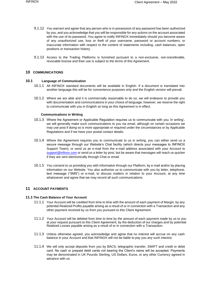- 9.1.12 You warrant and agree that any person who is in possession of any password has been authorized by you, and you acknowledge that you will be responsible for any actions on the account associated with the use of its password. You agree to notify INFINOX immediately should you become aware of any unauthorized use, loss or theft of your username, password or account numbers; or inaccurate information with respect to the content of statements including, cash balances, open positions or transaction history.
- 9.1.13 Access to the Trading Platforms is furnished pursuant to a non-exclusive, non-transferable, revocable license and their use is subject to the terms of this Agreement.

### **10 COMMUNICATIONS**

# **10.1 Language of Communication**

- 10.1.1 All INFINOX standard documents will be available in English. If a document is translated into another language this will be for convenience purposes only and the English version will prevail.
- 10.1.2 Where we are able and it is commercially reasonable to do so, we will endeavor to provide you with documentation and communications in your choice of language; however, we reserve the right to communicate with you in English so long as this Agreement is in effect.

#### **Communications in Writing**

- 10.1.3 Where the Agreement or Applicable Regulation requires us to communicate with you 'in writing', we will generally make such communications to you via email, although on certain occasions we may use post if doing so is more appropriate or required under the circumstances or by Applicable Regulations and if we have your postal contact details.
- 10.1.4 Where the Agreement requires you to communicate to us in writing, you can either send us a secure message through our Website's Chat facility (which directs your messages to INFINOX Support Team), or send us an e-mail from the e-mail address associated with your Account to [support@infinox.com](mailto:support@infinox.bs) or send us a letter by post, but be aware that messages will reach us quicker if they are sent electronically through Chat or email.
- 10.1.5 You consent to us providing you with information through our Platform, by e-mail and/or by placing information on our Website. You also authorize us to communicate with you by letter, telephone, text message ("SMS") or e-mail, to discuss matters in relation to your Account, at any time whatsoever and agree that we may record all such communications.

# **11 ACCOUNT PAYMENTS**

#### **11.1 The Cash Balance of Your Account**

- 11.1.1 Your Account will be credited from time to time with the amount of each payment of Margin, by any potential Realized Profits payable arising as a result of or in connection with a Transaction and any other payment received by us from you pursuant to this Client Agreement.
- 11.1.2 Your Account will be debited from time to time by the amount of each payment made by us to you at your request pursuant to this Client Agreement, by the deduction of our charges and by potential Realized Losses payable arising as a result of or in connection with a Transaction.
- 11.1.3 Unless otherwise agreed, you acknowledge and agree that no interest will accrue on any cash balance in your Account and that INFINOX will not be liable to pay you any such interest.
- 11.1.4 We will only accept deposits from you by BACS, telegraphic transfer, SWIFT and credit or debit card. No cash or prepaid debit cards not bearing the Client's name will be accepted. Payments may be denominated in UK Pounds Sterling, US Dollars, Euros, or any other Currency agreed in advance with us.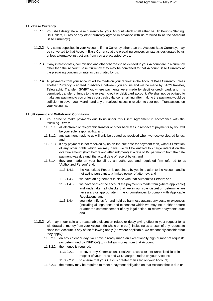# **11.2 Base Currency**

- 11.2.1 You shall designate a base currency for your Account which shall either be UK Pounds Sterling, US Dollars, Euros or any other currency agreed in advance with us referred to as the "Account Base Currency").
- 11.2.2 Any sums deposited in your Account, if in a Currency other than the Account Base Currency, may be converted to that Account Base Currency at the prevailing conversion rate as designated by us unless alternative instructions from you are accepted by us.
- 11.2.3 If any interest costs, commission and other charges to be debited to your Account are in a currency other than the Account Base Currency they may be converted to that Account Base Currency at the prevailing conversion rate as designated by us.
- 11.2.4 All payments from your Account will be made on your request in the Account Base Currency unless another Currency is agreed in advance between you and us and will be made by BACS transfer, Telegraphic Transfer, SWIFT or, where payments were made by debit or credit card, and it is permitted, transfer of funds to the relevant credit or debit card account. We shall not be obliged to make any payment to you unless your cash balance remaining after making the payment would be sufficient to cover your Margin and any unrealized losses in relation to your open Transactions on your Accounts.

# **11.3 Payment and Withdrawal Conditions**

- 11.3.1 You agree to make payments due to us under this Client Agreement in accordance with the following Terms:
	- 11.3.1.1 all electronic or telegraphic transfer or other bank fees in respect of payments by you will be your sole responsibility; and
	- 11.3.1.2 any payment made to us will only be treated as received when we receive cleared funds; and
	- 11.3.1.3 if any payment is not received by us on the due date for payment then, without limitation of any other rights which we may have, we will be entitled to charge interest on the overdue amount (both before and after judgment) at a rate of 1% per month from the date payment was due until the actual date of receipt by us; and
	- 11.3.1.4 they are made on your behalf by an authorized and regulated firm referred to as "Authorized Person" and:
		- 11.3.1.4.1 the Authorized Person is appointed by you in relation to the Account and is not acting pursuant to a limited power of attorney; and
		- 11.3.1.4.2 we have an agreement in place with that Authorized Person; and
		- 11.3.1.4.3 we have verified the account the payment is made from (where applicable) and undertaken all checks that we in our sole discretion determine are necessary or appropriate in the circumstances to comply with Applicable Regulations; and
		- 11.3.1.4.4 you indemnify us for and hold us harmless against any costs or expenses (including all legal fees and expenses) which we may incur, either before or after the commencement of any legal action, to recover payments due; and
- 11.3.2 We may in our sole and reasonable discretion refuse or delay giving effect to your request for a withdrawal of money from your Account (in whole or in part), including as a result of any request to close that Account, if any of the following apply (or, where applicable, we reasonably consider that they apply):
	- 11.3.2.1 on any calendar day, you have already made an exceptionally high number of requests (as determined by INFINOX) to withdraw money from that Account;
	- 11.3.2.2 the money is required:
		- 11.3.2.2.1 to cover any Commission, Realized Losses or net unrealized loss in respect of your Forex and CFD Margin Trades on your Account;
		- 11.3.2.2.2 to ensure that your Cash is greater than zero on your Account;
	- 11.3.2.3 the money may be required to meet a payment obligation on that Account that is due or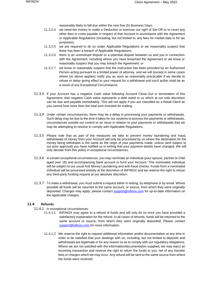reasonably likely to fall due within the next five (5) Business Days;

- 11.3.2.4 we need the money to make a Deduction or exercise our right of Set-Off or to cover any other fees or costs payable in respect of that Account in accordance with the Agreement or Applicable Regulations (including, but not limited to, any fees for market data or for tax purposes);
- 11.3.2.5 we are required to do so under Applicable Regulations or we reasonably suspect that there has been a breach of Applicable Regulations;
- 11.3.2.6 there is an unresolved dispute or a potential dispute between us and you in connection with the Agreement, including where you have breached the Agreement or we know or reasonably suspect that you may breach the Agreement; or
- 11.3.2.7 we know or reasonably suspect that the instruction has been provided by an Authorized Person acting pursuant to a limited power of attorney, and we will (except in some cases where (e) above applies) notify you as soon as reasonably practicable if we decide to refuse or delay giving effect to your request for a withdrawal and such action shall be as a result of any Exceptional Circumstance.
- 11.3.3 If your Account has a negative Cash value following Account Close-Out or termination of this Agreement, that negative Cash value represents a debt owed to us which at our sole discretion can be due and payable immediately. This will not apply if you are classified as a Retail Client as you cannot lose more than the total sum invested for trading.
- 11.3.4 Under certain circumstances, there may be a delay in processing your payments or withdrawals. Such delay may be due to the time it takes for our systems to process the payments or withdrawals, circumstances outside our control or an issue in relation to your payments or withdrawals that we may be attempting to resolve to comply with Applicable Regulations.
- 11.3.5 Please note that as part of the measures we take to prevent money laundering and fraud, withdrawals of money from your Account will only be processed by us where the destination for the money being withdrawn is the same as the origin of your payments made, unless (and subject to our prior approval) you have notified us in writing that your payment details have changed. We will only deviate from this policy in exceptional circumstances.
- 11.3.6 In certain exceptional circumstances, you may nominate an individual (your spouse, partner or child aged over 18) and accompanying bank account to fund your Account. This nominated individual will be subject to our usual Anti Money Laundering and anti-fraud checks. Funds from a nominated individual will be processed entirely at the discretion of INFINOX and we reserve the right to refuse any third-party funding request at our absolute discretion.
- 11.3.7 To make a withdrawal, you must submit a request either in writing, by telephone or by email. Where possible all funds will be returned to the same account, or source, from which they were originally deposited. Charges may apply; please contact [support@infinox.com](mailto:support@infinox.com) [f](mailto:support@infinox.com)or up-to-date information on the applicable charges.

# **11.4 Refunds**

- 11.4.1 In exceptional circumstances:<br>11.4.1.1 INFINOX may agree
	- INFINOX may agree to a refund of funds and will only do so once you have provided a satisfactory explanation for the refund. In all cases of refunds, funds will be returned to the same account or source, from which they were originally deposited. Please contact [support@infinox.com fo](mailto:support@infinox.com)r more information.
	- 11.4.1.2 We reserve the right to request additional information and/or documentation at any time in order to be satisfied that your dealings with us, including, but not limited to deposits and withdrawals are legitimate or for any reason so as to comply with our regulatory obligations. Where we are not satisfied with the information/documentation supplied, we may reject an incoming transaction and reserve the right to return the funds to you, net of any transfer fees or charges which we may incur. Any refund will be sent to the same source from where the funds were received.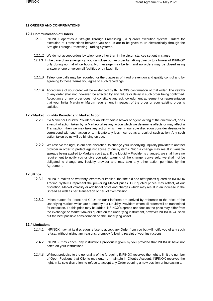### **12 ORDERS AND CONFIRMATIONS**

#### **12.1 Communication of Orders**

- 12.1.1 INFINOX operates a Straight Through Processing (STP) order execution system. Orders for execution of Transactions between you and us are to be given to us electronically through the Straight Through Processing Trading Systems.
- 12.1.2 We do not accept orders by telephone other than in the circumstances set out in clause
- 12.1.3 In the case of an emergency, you can close out an order by talking directly to a broker of INFINOX only during normal office hours. No message may be left, and no orders may be closed using answer phone or voicemail facilities or by facsimile.
- 12.1.3 Telephone calls may be recorded for the purposes of fraud prevention and quality control and by agreeing to these Terms you agree to such recordings.
- 12.1.4 Acceptance of your order will be evidenced by INFINOX's confirmation of that order. The validity of any order shall not, however, be affected by any failure or delay in such order being confirmed. Acceptance of any order does not constitute any acknowledgment agreement or representation that your Initial Margin or Margin requirement in respect of the order or your existing order is satisfied.

#### **12.2 Market Liquidity Provider and Market Action**

- 12.2.1 If a Market or Liquidity Provider (or an intermediate broker or agent, acting at the direction of, or as a result of action taken by, a Market) takes any action which we determine affects or may affect a Transaction, then we may take any action which we, in our sole discretion consider desirable to correspond with such action or to mitigate any loss incurred as a result of such action. Any such action taken by us will be binding on you.
- 12.2.2 We reserve the right, in our sole discretion, to change your underlying Liquidity provider to another provider in order to protect against abuse of our systems. Such a change may result in variable spreads being applied to Markets you trade. If the Liquidity Provider is changed, we shall have no requirement to notify you or give you prior warning of the change, conversely, we shall not be obligated to change any liquidity provider and may take any other action permitted by the Agreement.

# **12.3 Price**

- 12.3.1 INFINOX makes no warranty, express or implied, that the bid and offer prices quoted on INFINOX Trading Systems represent the prevailing Market prices. Our quoted prices may reflect, at our discretion, Market volatility or additional costs and charges which may result in an increase in the Spread as well as per Transaction or per-lot Commission.
- 12.3.2 Prices quoted for Forex and CFDs on our Platforms are derived by reference to the price of the Underlying Market, which are quoted by our Liquidity Providers whom all orders will be transmitted for execution. To this price may be added INFINOX's spread and fees so the price may differ from the exchange or Market Makers quotes on the underlying instrument, however INFINOX will seek out the best possible consideration on the Underlying Asset.

# **12.4 Limitations**

- 12.4.1 INFINOX may, at its discretion refuse to accept any Order from you but will notify you of any such refusal, without giving any reasons, promptly following receipt of your instructions.
- 12.4.2 INFINOX may cancel any instructions previously given by you provided that INFINOX have not acted on your instructions.
- 12.4.3 Without prejudice to the generality of the foregoing INFINOX reserves the right to limit the number of Open Positions that Clients may enter or maintain in Client's Account. INFINOX reserves the right, in its sole discretion, to refuse to accept any Order opening a new position or increasing an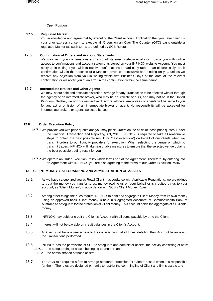Open Position.

# **12.5 Regulated Market**

You acknowledge and agree that by executing the Client Account Application that you have given us your prior express consent to execute all Orders on an Over The Counter (OTC) basis outside a regulated Market (as such terms are defined by SCB Rules).

# **12.6 Confirmation of Orders and Account Statements**

We may send you confirmations and account statements electronically or provide you with online access to confirmations and account statements stored on your INFINOX website Account. You must notify us in writing if you wish to receive confirmations in hard copy rather than electronically. Each confirmation will, in the absence of a Manifest Error, be conclusive and binding on you, unless we receive any objection from you in writing within two Business Days of the date of the relevant confirmation or we notify you of an error in the confirmation within the same period.

# **12.7 Intermediate Brokers and Other Agents**

We may, at our sole and absolute discretion, arrange for any Transaction to be affected with or through the agency of an intermediate broker, who may be an Affiliate of ours, and may not be in the United Kingdom. Neither, we nor our respective directors, officers, employees or agents will be liable to you for any act or omission of an intermediate broker or agent. No responsibility will be accepted for intermediate brokers or agents selected by you.

# **12.8 Order Execution Policy**

- 12.7.1 We provide you with price quotes and you may place Orders on the basis of those price quotes. Under the Financial Transaction and Reporting Act, 2018, INFINOX is required to take all reasonable steps to obtain the best possible result (or "best execution") on behalf of our clients when we transmit orders to our liquidity providers for execution. When selecting the venue on which to transmit trades, INFINOX will take reasonable measures to ensure that the selected venue obtains the best possible trading result for you.
- 12.7.2 We operate an Order Execution Policy which forms part of the Agreement. Therefore, by entering into an Agreement with INFINOX, you are also agreeing to the terms of our Order Execution Policy.

# **13 CLIENT MONEY, SAFEGUARDING AND ADMINISTRATION OF ASSETS**

- 13.1 As we have categorized you as Retail Client in accordance with Applicable Regulations, we are obliged to treat the money you transfer to us, money paid to us on your behalf or is credited by us to your account, as "Client Money", in accordance with SCB's Client Money Rules.
- 13.2 Among other things the rules require INFINOX to hold and segregate Client Money from its own money using an approved bank. Client money is held in "Segregated Accounts" at Commonwealth Bank of Australia as safeguard for the protection of Client Money. This account holds the aggregate of all Clients' money.
- 13.3 INFINOX may debit or credit the Client's Account with all sums payable by or to the Client.
- 13.4 Interest will not be payable on credit balances in the Client's Account.
- 13.5 All Clients will have online access to their own Account at all times, detailing their Account balance and the Transactions performed.
- 13.6 INFINOX has the permission of SCB to safeguard and administer assets, the activity consisting of both: 13.6.1 the safeguarding of assets belonging to another; and
	- 13.6.2 the administration of those assets
- 13.7 The SCB rule requires a firm to arrange adequate protection for Clients' assets when it is responsible for them. The rules are designed primarily to restrict the commingling of Client and firm's assets and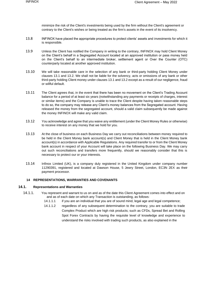minimize the risk of the Client's investments being used by the firm without the Client's agreement or contrary to the Client's wishes or being treated as the firm's assets in the event of its insolvency.

- 13.8 INFINOX have placed the appropriate procedures to protect clients' assets and investments for which it is responsible.
- 13.9 Unless the Client has notified the Company in writing to the contrary, INFINOX may hold Client Money on the Client's behalf in a Segregated Account located at an approved institution or pass money held on the Client's behalf to an intermediate broker, settlement agent or Over the Counter (OTC) counterparty located at another approved institution.
- 13.10 We will take reasonable care in the selection of any bank or third-party holding Client Money under clauses 13.1 and 13.2. We shall not be liable for the solvency, acts or omissions of any bank or other third-party holding Client money under clauses 13.1 and 13.2 except as a result of our negligence, fraud or willful default.
- 13.11 The Client agrees that, in the event that there has been no movement on the Client's Trading Account balance for a period of at least six years (notwithstanding any payments or receipts of charges, interest or similar items) and the Company is unable to trace the Client despite having taken reasonable steps to do so, the company may release any Client's money balances from the Segregated account. Having released the money from the segregated account, should a valid claim subsequently be made against the money INFINOX will make any valid claim.
- 13.12 You acknowledge and agree that you waive any entitlement (under the Client Money Rules or otherwise) to receive interest on any money that we hold for you.
- 13.13 At the close of business on each Business Day we carry out reconciliations between money required to be held in the Client Money bank account(s) and Client Money that is held in the Client Money bank account(s) in accordance with Applicable Regulations. Any required transfer to or from the Client Money bank account in respect of your Account will take place on the following Business Day. We may carry out such reconciliations and transfers more frequently, should we reasonably consider that this is necessary to protect our or your interests.
- 13.14 Infinox Limited (UK), is a company duly registered in the United Kingdom under company number 11290391, registered and located at Dawson House, 5 Jewry Street, London, EC3N 2EX as their payment processor.

#### **14 REPRESENTATIONS, WARRANTIES AND COVENANTS**

#### **14.1. Representations and Warranties**

- 14.1.1. You represent and warrant to us on and as of the date this Client Agreement comes into effect and on and as of each date on which any Transaction is outstanding, as follows:
	- 14.1.1.1 if you are an individual that you are of sound mind, legal age and legal competence;
	- 14.1.1.2 regardless of any subsequent determination to the contrary, you are suitable to trade Complex Product which are high risk products; such as CFDs, Spread Bet and Rolling Spot Forex Contracts by having the requisite level of knowledge and experience to understand the risks involved with trading such products, as also explained in the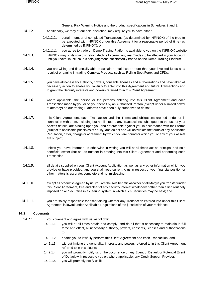General Risk Warning Notice and the product specifications in Schedules 2 and 3.

- 14.1.2. Additionally, we may at our sole discretion, may require you to have either:
	- 14.1.2.1. certain number of completed Transactions (as determined by INFINOX) of the type to be executed with INFINOX under this Agreement for a reasonable period of time (as determined by INFINOX); or
	- 14.1.2.2. you agree to trade on Demo Trading Platforms available to you on the INFINOX website.
- 14.1.3. INFINOX may, in its sole discretion, decline to permit any real Trades to be affected in your Account until you have, in INFINOX's sole judgment, satisfactorily traded on the Demo Trading Platform.
- 14.1.4. you are willing and financially able to sustain a total loss or more than your invested funds as a result of engaging in trading Complex Products such as Rolling Spot Forex and CFDs;
- 14.1.5. you have all necessary authority, powers, consents, licenses and authorizations and have taken all necessary action to enable you lawfully to enter into this Agreement and future Transactions and to grant the Security interests and powers referred to in this Client Agreement;
- 14.1.6. where applicable, the person or the persons entering into this Client Agreement and each Transaction made by you or on your behalf by an Authorized Person (except under a limited power of attorney) on our trading Platforms have been duly authorized to do so;
- 14.1.7. this Client Agreement, each Transaction and the Terms and obligations created under or in connection with them, including but not limited to any Transactions subsequent to the use of your Access details, are binding upon you and enforceable against you in accordance with their terms (subject to applicable principles of equity) and do not and will not violate the terms of any Applicable Regulation, order, charge or agreement by which you are bound or which you or any of your assets are subject;
- 14.1.8. unless you have informed us otherwise in writing you will at all times act as principal and sole beneficial owner (but not as trustee) in entering into this Client Agreement and performing each Transaction;
- 14.1.9. all details supplied on your Client Account Application as well as any other information which you provide or have provided, and you shall keep current to us in respect of your financial position or other matters is accurate, complete and not misleading;
- 14.1.10. except as otherwise agreed by us, you are the sole beneficial owner of all Margin you transfer under this Client Agreement, free and clear of any security interest whatsoever other than a lien routinely imposed on all Securities in a clearing system in which such Securities may be held; and
- 14.1.11. you are solely responsible for ascertaining whether any Transaction entered into under this Client Agreement is lawful under Applicable Regulations of the jurisdiction of your residence.

# **14.2. Covenants**

- 14.2.1. You covenant and agree with us, as follows:
	- 14.2.1.1 you will at all times obtain and comply, and do all that is necessary to maintain in full force and effect, all necessary authority, powers, consents, licenses and authorizations to:
	- 14.2.1.2 enable you to lawfully perform this Client Agreement and each Transaction; and
	- 14.2.1.3 without limiting the generality, interests and powers referred to in this Client Agreement referred to in this clause;
	- 14.2.1.4 you will promptly notify us of the occurrence of any Event of Default or Potential Event of Default with respect to you or, where applicable, any Credit Support Provider;
	- 14.2.1.5 you will promptly notify us if: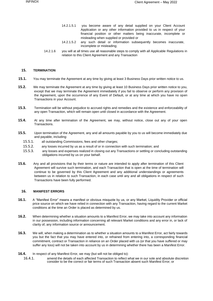- 14.2.1.5.1 you become aware of any detail supplied on your Client Account Application or any other information provided to us in respect of your financial position or other matters being inaccurate, incomplete or misleading when supplied or provided or
- 14.2.1.5.2 any such detail or information subsequently becomes inaccurate, incomplete or misleading;
- 14.2.1.6 you will at all times use all reasonable steps to comply with all Applicable Regulations in relation to this Client Agreement and any Transaction

#### **15. TERMINATION**

- **15.1.** You may terminate the Agreement at any time by giving at least 3 Business Days prior written notice to us.
- **15.2.** We may terminate the Agreement at any time by giving at least 10 Business Days prior written notice to you, except that we may terminate the Agreement immediately if you fail to observe or perform any provision of the Agreement, upon the occurrence of any Event of Default, or at any time at which you have no open Transactions in your Account.
- **15.3.** Termination will be without prejudice to accrued rights and remedies and the existence and enforceability of any open Transaction, which will remain open until closed in accordance with the Agreement.
- **15.4.** At any time after termination of the Agreement, we may, without notice, close out any of your open Transactions.
- **15.5.** Upon termination of the Agreement, any and all amounts payable by you to us will become immediately due and payable, including:
	- 15.5.1. all outstanding Commissions, fees and other charges;
	- 15.5.2. any losses incurred by us as a result of or in connection with such termination; and
	- 15.5.3. any losses and expenses realized in closing out any Transactions or settling or concluding outstanding obligations incurred by us on your behalf.
- **15.6.** Any and all provisions that by their terms or nature are intended to apply after termination of this Client Agreement will survive such termination, and each Transaction that is open at the time of termination will continue to be governed by this Client Agreement and any additional understandings or agreements between us in relation to such Transaction, in each case until any and all obligations in respect of such Transactions have been fully performed.

#### **16. MANIFEST ERRORS**

- **16.1.** A "Manifest Error" means a manifest or obvious misquote by us, or any Market, Liquidity Provider or official price source on which we have relied in connection with any Transaction, having regard to the current Market conditions at the time an Order is placed as determined by us.
- **16.2.** When determining whether a situation amounts to a Manifest Error, we may take into account any information in our possession, including information concerning all relevant Market conditions and any error in, or lack of clarity of, any information source or announcement.
- **16.3.** We will, when making a determination as to whether a situation amounts to a Manifest Error, act fairly towards you but the fact that you may have entered into, or refrained from entering into, a corresponding financial commitment, contract or Transaction in reliance on an Order placed with us (or that you have suffered or may suffer any loss) will not be taken into account by us in determining whether there has been a Manifest Error.
- **16.4.** In respect of any Manifest Error, we may (but will not be obliged to):
	- 16.4.1. amend the details of each affected Transaction to reflect what we in our sole and absolute discretion consider to be the correct or fair terms of such Transaction absent such Manifest Error; or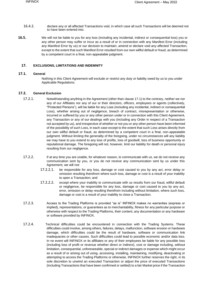- 16.4.2. declare any or all affected Transactions void, in which case all such Transactions will be deemed not to have been entered into.
- **16.5.** We will not be liable to you for any loss (including any incidental, indirect or consequential loss) you or any other person may suffer or incur as a result of or in connection with any Manifest Error (including any Manifest Error by us) or our decision to maintain, amend or declare void any affected Transaction, except to the extent that such Manifest Error resulted from our own willful default or fraud, as determined by a competent court in a final, non-appealable judgment.

#### **17. EXCLUSIONS, LIMITATIONS AND INDEMNITY**

# **17.1. General**

Nothing in this Client Agreement will exclude or restrict any duty or liability owed by us to you under Applicable Regulations.

### **17.2. General Exclusion**

- 17.2.1. Notwithstanding anything in the Agreement (other than clause 17.1) to the contrary, neither we nor any of our Affiliates nor any of our or their directors, officers, employees or agents (collectively, "Protected Persons"), will be liable for any Loss (including any incidental, indirect or consequential Loss), whether arising out of negligence, breach of contract, misrepresentation or otherwise, incurred or suffered by you or any other person under or in connection with this Client Agreement, any Transaction or any of our dealings with you (including any Order in respect of a Transaction not accepted by us), and irrespective of whether or not you or any other person have been informed of the possibility of such Loss, in each case except to the extent that such Loss arises directly from our own willful default or fraud, as determined by a competent court in a final, non-appealable judgment. Without limiting the generality of the foregoing, under no circumstances will any liability we may have to you extend to any loss of profits, loss of goodwill, loss of business opportunity or reputational damage. The foregoing will not, however, limit our liability for death or personal injury resulting from our negligence.
- 17.2.2. If at any time you are unable, for whatever reason, to communicate with us, we do not receive any communication sent by you, or you do not receive any communication sent by us under this Agreement, we will not:
	- 17.2.2.1. be responsible for any loss, damage or cost caused to you by any act, error delay or omission resulting therefrom where such loss, damage or cost is a result of your inability to open a Transaction; and
	- 17.2.2.2. except where your inability to communicate with us results from our fraud, willful default or negligence, be responsible for any loss, damage or cost caused to you by any act, error, omission or delay resulting therefrom including without limitation, where such loss, damage or cost is a result of your inability to close a Transaction.
- 17.2.3. Access to the Trading Platforms is provided "as is" INFINOX makes no warranties (express or implied), representations, or guarantees as to merchantability, fitness for any particular purpose or otherwise with respect to the Trading Platforms, their content, any documentation or any hardware or software provided by INFINOX.
- 17.2.4. Technical difficulties could be encountered in connection with the Trading Systems. These difficulties could involve, among others, failures, delays, malfunction, software erosion or hardware damage, which difficulties could be the result of hardware, software or communication link inadequacies or other causes. Such difficulties could lead to possible economic and/or data loss. In no event will INFINOX or its affiliates or any of their employees be liable for any possible loss (including loss of profit or revenue whether direct or indirect), cost or damage including, without limitation, consequential, unforeseeable, special or indirect damages or expense which might occur as a result of or arising out of using, accessing, installing, maintaining, modifying, deactivating or attempting to access the Trading Platforms or otherwise. INFINOX further reserves the right, in its sole discretion to unwind an executed Transaction or adjust the price of executed Transactions (including Transactions that have been confirmed or settled) to a fair Market price if the Transaction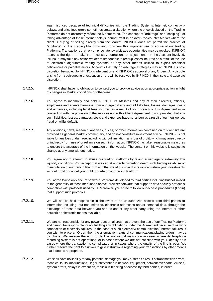was mispriced because of technical difficulties with the Trading Systems. Internet, connectivity delays, and price feed errors sometimes create a situation where the price displayed on the Trading Platforms do not accurately reflect the Market rates. The concept of "arbitrage" and "scalping", or taking advantage of these internet delays, cannot exist in an over- the-counter Market where the client is buying or selling directly from the Market. INFINOX does not permit the practice of "arbitrage" on the Trading Platforms and considers this improper use or abuse of our trading Platforms. Transactions that rely on price latency arbitrage opportunities may be revoked. INFINOX reserves the right to make the necessary corrections or adjustments on the Account involved. INFINOX may take any action we deem reasonable to recoup losses incurred as a result of the use of electronic algorithmic trading systems or any other means utilized to exploit technical deficiencies or palpable errors. Accounts that rely on arbitrage strategies may at INFINOX's sole discretion be subject to INFINOX's intervention and INFINOX's approval of any Orders. Any dispute arising from such quoting or execution errors will be resolved by INFINOX in their sole and absolute discretion.

- 17.2.5. INFINOX shall have no obligation to contact you to provide advice upon appropriate action in light of changes in Market conditions or otherwise.
- 17.2.6. You agree to indemnify and hold INFINOX, its Affiliates and any of their directors, officers, employees and agents harmless from and against any and all liabilities, losses, damages, costs and expenses, including legal fees incurred as a result of your breach of this Agreement or in connection with the provision of the services under this Client Agreement to you provided that any such liabilities, losses, damages, costs and expenses have not arisen as a result of our negligence, fraud or willful default.
- 17.2.7. Any opinions, news, research, analyses, prices, or other information contained on this website are provided as general Market commentary, and do not constitute investment advice. INFINOX is not liable for any loss or damage, including without limitation, any loss of profit, which may arise directly or indirectly from use of or reliance on such information. INFINOX has taken reasonable measures to ensure the accuracy of the information on the website. The content on this website is subject to change at any time without notice.
- 17.2.8. You agree not to attempt to abuse our trading Platforms by taking advantage of extremely low liquidity conditions. You accept that we can at our sole discretion deem such trading as abuse or manipulation of our trading Platform and that we at our sole discretion can return your investments without profit or cancel your right to trade on our trading Platform.
- 17.2.9. You agree to use only secure software programs developed by third parties including but not limited to the generality of those mentioned above, browser software that supports data security protocols compatible with protocols used by us. Moreover, you agree to follow our access procedures (Login) that support such protocols.
- 17.2.10. We will not be held responsible in the event of an unauthorized access from third parties to information including, but not limited to, electronic addresses and/or personal data, through the exchange of these data between you and us and/or any other party using the Internet or other network or electronic means available.
- 17.2.11. We are not responsible for any power cuts or failures that prevent the use of our Trading Platforms and cannot be responsible for not fulfilling any obligations under this Agreement because of network connection or electricity failures. In the case of such electricity/ communication/ Internet failures, if you wish to place an Order, then the alternative means of communications/placing orders may be by phone. We reserve the right to decline any verbal instruction in cases where its telephone recording system is not operational or in cases where we are not satisfied with your identity or in cases where the transaction is complicated or in cases where the quality of the line is poor. We further reserve the right to ask you to give instructions regarding your transactions by other means that it deems appropriate.
- 17.2.12. We shall have no liability for any potential damage you may suffer as a result of transmission errors, technical faults, malfunctions, illegal intervention in network equipment, network overloads, viruses, system errors, delays in execution, malicious blocking of access by third parties, internet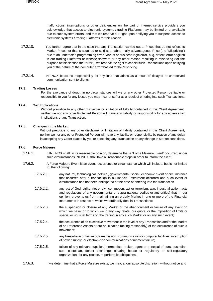malfunctions, interruptions or other deficiencies on the part of internet service providers you acknowledge that access to electronic systems / trading Platforms may be limited or unavailable due to such system errors, and that we reserve our right upon notifying you to suspend access to electronic systems / trading Platforms for this reason.

- 17.2.13. You further agree that in the case that any Transaction carried out at Prices that do not reflect its Market Prices, or that is acquired or sold at an abnormally advantageous Price (the "Mispricing") due to an undetected programming error, Market or business logic error, bug, defect, error or glitch in our trading Platforms or website software or any other reason resulting in mispricing (for the purpose of this section the "error"), we reserve the right to cancel such Transactions upon notifying you of the nature of the computer error that led to the Mispricing.
- 17.2.14. INFINOX bears no responsibility for any loss that arises as a result of delayed or unreceived communication sent to clients.

### **17.3. Trading Losses**

For the avoidance of doubt, in no circumstances will we or any other Protected Person be liable or responsible to you for any losses you may incur or suffer as a result of entering into such Transactions.

# **17.4. Tax Implications**

Without prejudice to any other disclaimer or limitation of liability contained in this Client Agreement, neither we nor any other Protected Person will have any liability or responsibility for any adverse tax implications of any Transaction.

#### **17.5. Changes in the Market**

Without prejudice to any other disclaimer or limitation of liability contained in this Client Agreement, neither we nor any other Protected Person will have any liability or responsibility by reason of any delay in accepting any Order placed by you or executing any Transaction or any change in Market conditions.

#### **17.6. Force Majeure**

- 17.6.1. If INFINOX shall, in its reasonable opinion, determine that a "Force Majeure Event" occurred; under such circumstances INFINOX shall take all reasonable steps in order to inform the client.
- 17.6.2. A Force Majeure Event is an event, occurrence or circumstance which will include, but is not limited to, the following:
	- 17.6.2.1. any natural, technological, political, governmental, social, economic event or circumstance that occurred after a transaction in a Financial Instrument occurred and such event or circumstance has not been anticipated at the date of entering into the transaction.
	- 17.6.2.2. any act of God, strike, riot or civil commotion, act or terrorism, war, industrial action, acts and regulations of any governmental or supra national bodies or authorities) that, in our opinion, prevents us from maintaining an orderly Market in one or more of the Financial Instruments in respect of which we ordinarily deal in Transactions;
	- 17.6.2.3. the suspension or closure of any Market or the abandonment or failure of any event on which we base, or to which we in any way relate, our quote, or the imposition of limits or special or unusual terms on the trading in any such Market or on any such event;
	- 17.6.2.4. the occurrence of an excessive movement in the level of any Transaction and/or the Market of an Reference Assets or our anticipation (acting reasonably) of the occurrence of such a movement;
	- 17.6.2.5. any breakdown or failure of transmission, communication or computer facilities, interruption of power supply, or electronic or communications equipment failure;
	- 17.6.2.6. failure of any relevant supplier, intermediate broker, agent or principal of ours, custodian, sub- custodian, dealer exchange, clearing house or regulatory or self-regulatory organization, for any reason, to perform its obligations.
- 17.6.3. If we determine that a Force Majeure exists, we may, at our absolute discretion, without notice and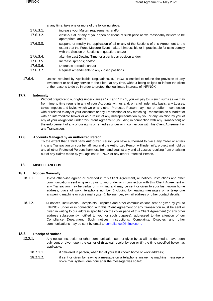at any time, take one or more of the following steps:

- 17.6.3.1. increase your Margin requirements; and/or
- 17.6.3.2. close-out all or any of your open positions at such price as we reasonably believe to be appropriate; and/or
- 17.6.3.3. suspend or modify the application of all or any of the Sections of this Agreement to the extent that the Force Majeure Event makes it impossible or impracticable for us to comply with the Section or Sections in question; and/or
- 17.6.3.4. alter the Last Dealing Time for a particular position and/or
- 17.6.3.5. Increase spreads; and/or
- 17.6.3.6. Decrease spreads; and/or
- 17.6.3.7. Request amendments to any closed positions.
- 17.6.4. Unless required by Applicable Regulations, INFINOX is entitled to refuse the provision of any investment or ancillary service to the client, at any time, without being obliged to inform the client of the reasons to do so in order to protect the legitimate interests of INFINOX.

# **17.7. Indemnity**

Without prejudice to our rights under clauses 17.1 and 17.2.1, you will pay to us such sums as we may from time to time require in any of your Accounts with us and, on a full indemnity basis, any Losses, taxes, imposts and levies which we or any other Protected Person may incur or suffer in connection with or related to any of your Accounts or any Transaction or any matching Transaction on a Market or with an intermediate broker or as a result of any misrepresentation by you or any violation by you of any of your obligations under this Client Agreement (including in connection with any Transaction) or the enforcement of any of our rights or remedies under or in connection with this Client Agreement or any Transaction.

# **17.8. Accounts Managed by an Authorized Person**

To the extent that a third party Authorized Person you have authorized to place any Order or enters into any Transaction on your behalf, you and the Authorized Person will indemnify, protect and hold us and all other Protected Persons harmless from and against any and all Losses resulting from or arising out of any claims made by you against INFINOX or any other Protected Person.

# **18. MISCELLANEOUS**

# **18.1. Notices Generally**

- 18.1.1. Unless otherwise agreed or provided in this Client Agreement, all notices, instructions and other communications sent or given by us to you under or in connection with this Client Agreement or any Transaction may be verbal or in writing and may be sent or given to your last known home address, place of work, telephone number (including by leaving messages on a telephone answering machine or voice mail system), fax number, e-mail address or other contact details.
- 18.1.2. All notices, instructions, Complaints, Disputes and other communications sent or given by you to INFINOX under or in connection with this Client Agreement or any Transaction must be sent or given in writing to our address specified on the cover page of this Client Agreement (or any other address subsequently notified to you for such purpose), addressed to the attention of our Compliance Department. Such notices, instructions, Complaints, Disputes and other communications may be sent by email to [compliance@infinox.com.](mailto:compliance@infinox.bs)

# **18.2. Receipt of Notices**

- 18.2.1. Any notice, instruction or other communication sent or given by us will be deemed to have been duly sent or given upon the earlier of (i) actual receipt by you or (ii) the time specified below, as applicable:
	- 18.2.1.1. if delivered in person, when left at your last known home or work address;
	- 18.2.1.2. if sent or given by leaving a message on a telephone answering machine message or voice mail system, one hour after the message was so left;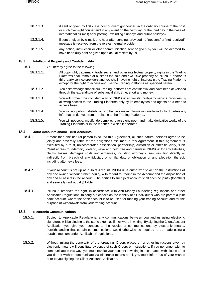- 18.2.1.3. if sent or given by first class post or overnight courier, in the ordinary course of the post or such overnight courier and in any event on the next day (or the third day in the case of international air mail) after posting (excluding Sundays and public holidays)
- 18.2.1.4. if sent or given by e-mail, one hour after sending, provided no "not sent" or "not received" message is received from the relevant e-mail provider.
- 18.2.1.5. any notice, instruction or other communication sent or given by you will be deemed to have been duly sent or given upon actual receipt by us.

### **18.3. Intellectual Property and Confidentiality**

18.3.1. You hereby agree to the following:

- 18.3.1.1. All copyright, trademark, trade secret and other intellectual property rights in the Trading Platforms shall remain at all times the sole and exclusive property of INFINOX and/or its third-party service providers and you shall have no right or interest in the Trading Platforms except for the right to access and use the Trading Platforms as specified herein.
- 18.3.1.2. You acknowledge that all our Trading Platforms are confidential and have been developed through the expenditure of substantial skill, time, effort and money.
- 18.3.1.3. You will protect the confidentiality of INFINOX and/or its third-party service providers by allowing access to the Trading Platforms only by its employees and agents on a need to access basis.
- 18.3.1.4. You will not publish, distribute, or otherwise make information available to third parties any information derived from or relating to the Trading Platforms.
- 18.3.1.5. You will not copy, modify, de-compile, reverse engineer, and make derivative works of the Trading Platforms or in the manner in which it operates.

#### **18.4. Joint Accounts and/or Trust Accounts.**

- 18.4.1. If more than one natural person executed this Agreement, all such natural persons agree to be jointly and severally liable for the obligations assumed in this Agreement. If this Agreement is executed by a trust, unincorporated association, partnership, custodian or other fiduciary, such Client agrees to indemnify, defend, save and hold free and harmless INFINOX for any liabilities, claims, losses, damages costs and expenses, including attorney's fees, resulting directly or indirectly from breach of any fiduciary or similar duty or obligation or any allegation thereof, including attorney's fees.
- 18.4.2. If your Account is set up as a Joint Account, INFINOX is authorized to act on the instructions of any one owner, without further inquiry, with regard to trading in the Account and the disposition of any and all assets in the Account. The parties to such joint account shall each be jointly (together) and severally (individually) liable.
- 18.4.3. INFINOX reserves the right, in accordance with Anti Money Laundering regulations and other Applicable Regulations, to carry out checks on the identity of all individuals who are part of a joint bank account, where the bank account is to be used for funding your trading Account and for the purpose of withdrawals from your trading account.

#### **18.5. Electronic Communications**

- 18.5.1. Subject to Applicable Regulations, any communications between you and us using electronic signatures will be binding to the same extent as if they were in writing. By signing the Client Account Application you give your consent to the receipt of communications by electronic means, notwithstanding that certain communications would otherwise be required to be made using a durable medium under Applicable Regulations.
- 18.5.2. Without limiting the generality of the foregoing, Orders placed on or other instructions given by electronic means will constitute evidence of such Orders or instructions. If you no longer wish to communicate in this way, you must revoke your consent in writing in accordance with clause 10. If you do not wish to communicate via electronic means at all, you must inform us of your wishes prior to you signing the Client Account Application.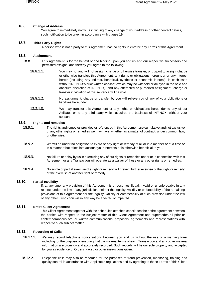# **18.6. Change of Address**

You agree to immediately notify us in writing of any change of your address or other contact details, such notification to be given in accordance with clause 19.

### **18.7. Third Party Rights**

A person who is not a party to this Agreement has no rights to enforce any Terms of this Agreement.

#### **18.8. Assignment**

- 18.8.1. This Agreement is for the benefit of and binding upon you and us and our respective successors and permitted assigns, and thereby you agree to the following:
	- 18.8.1.1. You may not and will not assign, charge or otherwise transfer, or purport to assign, charge or otherwise transfer, this Agreement, any rights or obligations hereunder or any interest herein (including any indirect, beneficial, synthetic or economic interest), in each case without INFINOX's prior written consent (which may be withheld or delayed in the sole and absolute discretion of INFINOX), and any attempted or purported assignment, charge or transfer in violation of this sentence will be void.
	- 18.8.1.2. No assignment, charge or transfer by you will relieve you of any of your obligations or liabilities hereunder.
	- 18.8.1.3. We may transfer this Agreement or any rights or obligations hereunder to any of our Affiliates or to any third party which acquires the business of INFINOX, without your consent.

## **18.9. Rights and remedies**

- 18.9.1. The rights and remedies provided or referenced in this Agreement are cumulative and not exclusive of any other rights or remedies we may have, whether as a matter of contract, under common law, or otherwise.
- 18.9.2. We will be under no obligation to exercise any right or remedy at all or in a manner or at a time or in a manner that takes into account your interests or is otherwise beneficial to you.
- 18.9.3. No failure or delay by us in exercising any of our rights or remedies under or in connection with this Agreement or any Transaction will operate as a waiver of those or any other rights or remedies.
- 18.9.4. No single or partial exercise of a right or remedy will prevent further exercise of that right or remedy or the exercise of another right or remedy.

#### **18.10. Partial Invalidity**

If, at any time, any provision of this Agreement is or becomes illegal, invalid or unenforceable in any respect under the law of any jurisdiction, neither the legality, validity or enforceability of the remaining provisions of this Agreement nor the legality, validity or enforceability of such provision under the law of any other jurisdiction will in any way be affected or impaired.

#### **18.11. Entire Client Agreement**

This Client Agreement together with the schedules attached constitutes the entire agreement between the parties with respect to the subject matter of this Client Agreement and supersedes all prior or contemporaneous oral or written communications, proposals, agreements and representations with respect to such subject matter.

# **18.12. Recording of Calls**

- 18.12.1. We may record telephone conversations between you and us without the use of a warning tone, including for the purpose of ensuring that the material terms of each Transaction and any other material information are promptly and accurately recorded. Such records will be our sole property and accepted by you as evidence of Orders placed or other instructions given.
- 18.12.2. Telephone calls may also be recorded for the purposes of fraud prevention, monitoring, training and quality control in accordance with Applicable regulations and by agreeing to these Terms of this Client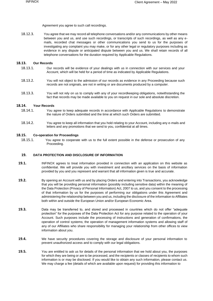Agreement you agree to such call recordings.

18.12.3. You agree that we may record all telephone conversations and/or any communications by other means between you and us, and use such recordings, or transcripts of such recordings, as well as any emails, recorded chat messages or other communications you send to us for the purposes of investigating any complaint you may make, or for any other legal or regulatory purposes including as evidence in any dispute or anticipated dispute between you and us. We shall retain records of all telephone conversations for the duration required by Applicable Regulations.

# **18.13. Our Records**

- 18.13.1. Our records will be evidence of your dealings with us in connection with our services and your Account, which will be held for a period of time as indicated by Applicable Regulations.
- 18.13.2. You will not object to the admission of our records as evidence in any Proceeding because such records are not originals, are not in writing or are documents produced by a computer.
- 18.13.3. You will not rely on us to comply with any of your recordkeeping obligations, notwithstanding the fact that records may be made available to you on request in our sole and absolute discretion.

# **18.14. Your Records**

- 18.14.1. You agree to keep adequate records in accordance with Applicable Regulations to demonstrate the nature of Orders submitted and the time at which such Orders are submitted.
- 18.14.2. You agree to keep all information that you hold relating to your Account, including any e-mails and letters and any promotions that we send to you, confidential at all times.

#### **18.15. Co-operation for Proceedings**

18.15.1. You agree to cooperate with us to the full extent possible in the defense or prosecution of any Proceeding.

#### **19. DATA PROTECTION AND DISCLOSURE OF INFORMATION**

- **19.1.** INFINOX agrees to treat information provided in connection with an application on this website as confidential. We will provide you with investment and ancillary services on the basis of information provided by you and you represent and warrant that all information given is true and accurate.
- **19.2.** By opening an Account with us and by placing Orders and entering into Transactions, you acknowledge that you will be providing personal information (possibly including sensitive data) within the meaning of the Data Protection (Privacy of Personal Information) Act, 2007 to us, and you consent to the processing of that information by us for the purposes of performing our obligations under this Agreement and administering the relationship between you and us, including the disclosure of the information to Affiliates both within and outside the European Union and/or European Economic Area.
- **19.3.** Data may be transferred to, and stored and processed in countries which do not offer "adequate protection" for the purposes of the Data Protection Act for any purpose related to the operation of your Account. Such purposes include the processing of instructions and generation of confirmations, the operation of control systems; the operation of management information systems and allowing staff of any of our Affiliates who share responsibility for managing your relationship from other offices to view information about you.
- **19.4.** We have security procedures covering the storage and disclosure of your personal information to prevent unauthorized access and to comply with our legal obligations.
- **19.5.** You are entitled to ask us for details of the personal information that we hold about you, the purposes for which they are being or are to be processed, and the recipients or classes of recipients to whom such information is or may be disclosed. If you would like to obtain any such information, please contact us. We may charge a fee (details of which are available upon request) for providing this information to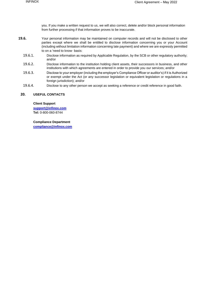you. If you make a written request to us, we will also correct, delete and/or block personal information from further processing if that information proves to be inaccurate.

- **19.6.** Your personal information may be maintained on computer records and will not be disclosed to other parties except where we shall be entitled to disclose information concerning you or your Account (including without limitation information concerning late payment) and where we are expressly permitted to on a 'need to know· basis:
	- 19.6.1. Disclose information as required by Applicable Regulation, by the SCB or other regulatory authority; and/or
	- 19.6.2. Disclose information to the institution holding client assets, their successors in business, and other institutions with which agreements are entered in order to provide you our services; and/or
	- 19.6.3. Disclose to your employer (including the employer's Compliance Officer or auditor's) if it is Authorized or exempt under the Act (or any successor legislation or equivalent legislation or regulations in a foreign jurisdiction); and/or
	- 19.6.4. Disclose to any other person we accept as seeking a reference or credit reference in good faith.

# **20. USEFUL CONTACTS**

#### **Client Support**

**[support@infinox.com](mailto:support@infinox.com) Tel:** 0-800-060-8744

**Compliance Department [compliance@infinox.com](mailto:compliance@infinox.com)**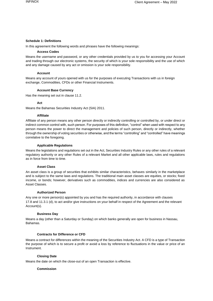# **Schedule 1: Definitions**

In this agreement the following words and phrases have the following meanings:

# **Access Codes**

Means the username and password, or any other credentials provided by us to you for accessing your Account and trading through our electronic systems, the security of which is your sole responsibility and the use of which and any damage caused by any act or omission is your sole responsibility.

# **Account**

Means any account of yours opened with us for the purposes of executing Transactions with us in foreign exchange, Commodities, CFDs or other Financial Instruments.

# **Account Base Currency**

Has the meaning set out in clause 11.2.

#### **Act**

Means the Bahamas Securities Industry Act (SIA) 2011.

#### **Affiliate**

Affiliate of any person means any other person directly or indirectly controlling or controlled by, or under direct or indirect common control with, such person. For purposes of this definition, "control" when used with respect to any person means the power to direct the management and policies of such person, directly or indirectly, whether through the ownership of voting securities or otherwise, and the terms "controlling" and "controlled" have meanings correlative to the foregoing.

#### **Applicable Regulations**

Means the legislations and regulations set out in the Act, Securities Industry Rules or any other rules of a relevant regulatory authority or any other Rules of a relevant Market and all other applicable laws, rules and regulations as in force from time to time.

#### **Asset Class**

An asset class is a group of securities that exhibits similar characteristics, behaves similarly in the marketplace and is subject to the same laws and regulations. The traditional main asset classes are equities, or stocks; fixed income, or bonds; however, derivatives such as commodities, indices and currencies are also considered as Asset Classes.

#### **Authorized Person**

Any one or more person(s) appointed by you and has the required authority, in accordance with clauses 17.8 and 11.3.1 (d), to act and/or give instructions on your behalf in respect of the Agreement and the relevant Account(s).

# **Business Day**

Means a day (other than a Saturday or Sunday) on which banks generally are open for business in Nassau, Bahamas.

# **Contracts for Difference or CFD**

Means a contract for differences within the meaning of the Securities Industry Act. A CFD is a type of Transaction the purpose of which is to secure a profit or avoid a loss by reference to fluctuations in the value or price of an Instrument.

# **Closing Date**

Means the date on which the close-out of an open Transaction is effective.

# **Commission**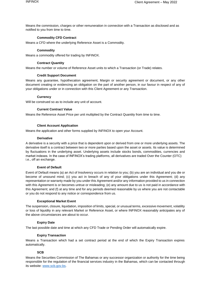Means the commission, charges or other remuneration in connection with a Transaction as disclosed and as notified to you from time to time.

#### **Commodity CFD Contract**

Means a CFD where the underlying Reference Asset is a Commodity.

#### **Commodity**

Means a commodity offered for trading by INFINOX.

#### **Contract Quantity**

Means the number or volume of Reference Asset units to which a Transaction (or Trade) relates.

#### **Credit Support Document**

Means any guarantee, hypothecation agreement, Margin or security agreement or document, or any other document creating or evidencing an obligation on the part of another person, in our favour in respect of any of your obligations under or in connection with this Client Agreement or any Transaction.

#### **Currency**

Will be construed so as to include any unit of account.

#### **Current Contract Value**

Means the Reference Asset Price per unit multiplied by the Contract Quantity from time to time.

#### **Client Account Application**

Means the application and other forms supplied by INFINOX to open your Account.

#### **Derivative**

A derivative is a security with a price that is dependent upon or derived from one or more underlying assets. The derivative itself is a contract between two or more parties based upon the asset or assets. Its value is determined by fluctuations in the underlying asset. Underlying assets include stocks bonds, commodities, currencies and market indexes. In the case of INFINOX's trading platforms, all derivatives are traded Over the Counter (OTC) i.e., off an exchange.

#### **Event of Default**

Event of Default means (a) an Act of Insolvency occurs in relation to you; (b) you are an individual and you die or become of unsound mind; (c) you act in breach of any of your obligations under this Agreement; (d) any representation or warranty made by you under this Agreement and/or any information provided to us in connection with this Agreement is or becomes untrue or misleading; (e) any amount due to us is not paid in accordance with this Agreement; and (f) at any time and for any periods deemed reasonable by us where you are not contactable or you do not respond to any notice or correspondence from us.

#### **Exceptional Market Event**

The suspension, closure, liquidation, imposition of limits, special, or unusual terms, excessive movement, volatility or loss of liquidity in any relevant Market or Reference Asset, or where INFINOX reasonably anticipates any of the above circumstances are about to occur.

#### **Expiry Date**

The last possible date and time at which any CFD Trade or Pending Order will automatically expire.

#### **Expiry Transaction**

Means a Transaction which had a set contract period at the end of which the Expiry Transaction expires automatically.

# **SCB**

Means the Securities Commission of The Bahamas or any successor organization or authority for the time being responsible for the regulation of the financial services industry in the Bahamas, which can be contacted through its website: [www.scb.gov.bs.](http://www.scb.gov.bs/)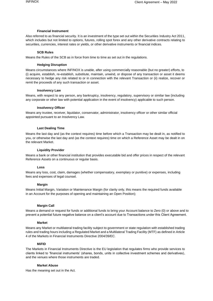# **Financial Instrument**

Also referred to as financial security. It is an investment of the type set out within the Securities Industry Act 2011, which includes but not limited to options, futures, rolling spot forex and any other derivative contracts relating to securities, currencies, interest rates or yields, or other derivative instruments or financial indices.

### **SCB Rules**

Means the Rules of the SCB as in force from time to time as set out in the regulations.

# **Hedging Disruption**

Means circumstances where INFINOX is unable, after using commercially reasonable (but no greater) efforts, to (i) acquire, establish, re-establish, substitute, maintain, unwind, or dispose of any transaction or asset it deems necessary to hedge any risk related to or in connection with the relevant Transaction or (ii) realize, recover or remit the proceeds of any such transaction or asset.

# **Insolvency Law**

Means, with respect to any person, any bankruptcy, insolvency, regulatory, supervisory or similar law (including any corporate or other law with potential application in the event of insolvency) applicable to such person.

# **Insolvency Officer**

Means any trustee, receiver, liquidator, conservator, administrator, insolvency officer or other similar official appointed pursuant to an Insolvency Law.

# **Last Dealing Time**

Means the last day and (as the context requires) time before which a Transaction may be dealt in, as notified to you, or otherwise the last day and (as the context requires) time on which a Reference Asset may be dealt in on the relevant Market.

## **Liquidity Provider**

Means a bank or other financial institution that provides executable bid and offer prices in respect of the relevant Reference Assets on a continuous or regular basis.

# **Loss**

Means any loss, cost, claim, damages (whether compensatory, exemplary or punitive) or expenses, including fees and expenses of legal counsel.

# **Margin**

Means Initial Margin, Variation or Maintenance Margin (for clarity only, this means the required funds available in an Account for the purposes of opening and maintaining an Open Position);

# **Margin Call**

Means a demand or request for funds or additional funds to bring your Account balance to Zero (0) or above and to prevent a potential future negative balance on a client's account due to Transactions under this Client Agreement.

# **Market**

Means any Market or multilateral trading facility subject to government or state regulation with established trading rules and trading hours including a Regulated Market and a Multilateral Trading Facility (MTF) as defined in Article 4 of the Markets in Financial Instruments Directive 2004/39/EC.

# **MiFID**

The Markets in Financial Instruments Directive is the EU legislation that regulates firms who provide services to clients linked to 'financial instruments' (shares, bonds, units in collective investment schemes and derivatives), and the venues where those instruments are traded.

# **Market Abuse**

Has the meaning set out in the Act.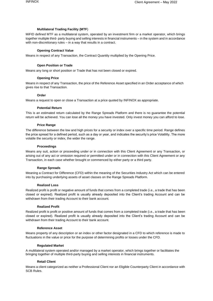# **Multilateral Trading Facility (MTF**)

MiFID defined MTF as a multilateral system, operated by an investment firm or a market operator, which brings together multiple third- party buying and selling interests in financial instruments – in the system and in accordance with non-discretionary rules – in a way that results in a contract.

# **Opening Contract Value**

Means in respect of any Transaction, the Contract Quantity multiplied by the Opening Price.

# **Open Position or Trade**

Means any long or short position or Trade that has not been closed or expired.

# **Opening Price**

Means in respect of any Transaction, the price of the Reference Asset specified in an Order acceptance of which gives rise to that Transaction.

# **Order**

Means a request to open or close a Transaction at a price quoted by INFINOX as appropriate.

# **Potential Return**

This is an estimated return calculated by the Range Spreads Platform and there is no guarantee the potential return will be achieved. You can lose all the money you have invested. Only invest money you can afford to lose.

# **Price Range**

The difference between the low and high prices for a security or index over a specific time period. Range defines the price spread for a defined period, such as a day or year, and indicates the security's price Volatility. The more volatile the security or index, the wider the range.

#### **Proceedings**

Means any suit, action or proceeding under or in connection with this Client Agreement or any Transaction, or arising out of any act or omission required or permitted under or in connection with this Client Agreement or any Transaction, in each case whether brought or commenced by either party or a third party.

# **Range Spreads**

Meaning a Contract for Difference (CFD) within the meaning of the Securities Industry Act which can be entered into by purchasing underlying assets of asset classes on the Range Spreads Platform.

# **Realized Loss**

Realized profit is profit or negative amount of funds that comes from a completed trade (i.e., a trade that has been closed or expired). Realized profit is usually already deposited into the Client's trading Account and can be withdrawn from their trading Account to their bank account.

#### **Realized Profit**

Realized profit is profit or positive amount of funds that comes from a completed trade (i.e., a trade that has been closed or expired). Realized profit is usually already deposited into the Client's trading Account and can be withdrawn from their trading Account to their bank account.

# **Reference Asset**

Means property of any description or an index or other factor designated in a CFD to which reference is made to fluctuations in the value or price for the purpose of determining profits or losses under the CFD.

# **Regulated Market**

A multilateral system operated and/or managed by a market operator, which brings together or facilitates the bringing together of multiple third-party buying and selling interests in financial instruments.

# **Retail Client**

Means a client categorized as neither a Professional Client nor an Eligible Counterparty Client in accordance with SCB Rules.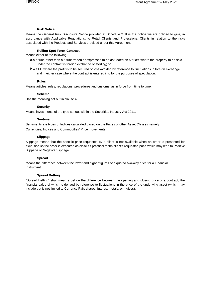#### **Risk Notice**

Means the General Risk Disclosure Notice provided at Schedule 2. It is the notice we are obliged to give, in accordance with Applicable Regulations, to Retail Clients and Professional Clients in relation to the risks associated with the Products and Services provided under this Agreement.

#### **Rolling Spot Forex Contract**

Means either of the following:

- a.a future, other than a future traded or expressed to be as traded on Market, where the property to be sold under the contract is foreign exchange or sterling; or
- b.a CFD where the profit is to be secured or loss avoided by reference to fluctuations in foreign exchange and in either case where the contract is entered into for the purposes of speculation.

# **Rules**

Means articles, rules, regulations, procedures and customs, as in force from time to time.

#### **Scheme**

Has the meaning set out in clause 4.6.

#### **Security**

Means investments of the type set out within the Securities Industry Act 2011.

#### **Sentiment**

Sentiments are types of Indices calculated based on the Prices of other Asset Classes namely Currencies, Indices and Commodities' Price movements.

#### **Slippage**

Slippage means that the specific price requested by a client is not available when an order is presented for execution so the order is executed as close as practical to the client's requested price which may lead to Positive Slippage or Negative Slippage.

# **Spread**

Means the difference between the lower and higher figures of a quoted two-way price for a Financial Instrument.

#### **Spread Betting**

"Spread Betting" shall mean a bet on the difference between the opening and closing price of a contract, the financial value of which is derived by reference to fluctuations in the price of the underlying asset (which may include but is not limited to Currency Pair, shares, futures, metals, or indices).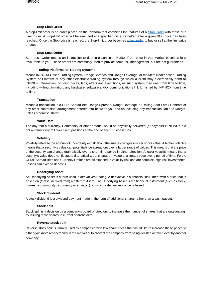#### **Stop Limit Order**

A stop-limit order is an order placed on the Platform that combines the features of a [Stop Order](http://www.investopedia.com/terms/s/stoporder.asp) with those of a Limit order. A Stop-limit order will be executed at a specified price, or better, after a given Stop price has been reached. Once the Stop price is reached, the Stop-limit order becomes [a limit order t](http://www.investopedia.com/terms/l/limitorder.asp)o buy or sell at the limit price or better.

#### **Stop Loss Order**

Stop Loss Order means an instruction to deal in a particular Market if our price in that Market becomes less favourable to you. These orders are commonly used to provide some risk management, but are not guaranteed.

#### **Trading Platforms or Trading Systems**

Means INFINOX Online Trading System, Range Spreads and Range Leverage, or the MetaTrader online Trading System or Platform or any other electronic trading system through which a client may electronically send to INFINOX information including prices, bids, offers and executions, as such system may exist from time to time, including without limitation, any hardware, software and/or communications link furnished by INFINOX from time to time.

#### **Transaction**

Means a transaction in a CFD, Spread Bet, Range Spreads, Range Leverage, or Rolling Spot Forex Contract or any other contractual arrangement entered into between you and us including any transaction liable to Margin, unless otherwise stated.

#### **Value Date**

The day that a currency, Commodity or other product would be physically delivered (or payable) if INFINOX did not automatically roll over client positions at the end of each Business Day.

#### **Volatility**

Volatility refers to the amount of uncertainty or risk about the size of changes in a security's value. A higher volatility means that a security's value can potentially be spread out over a larger range of values. This means that the price of the security can change dramatically over a short time period in either direction. A lower volatility means that a security's value does not fluctuate dramatically, but changes in value at a steady pace over a period of time. Forex, CFDs, Spread Bets and Currency Options are all exposed to volatility risk and are complex, high risk investments. Losses can exceed deposits.

# **Underlying Asset**

An Underlying Asset is a term used in derivatives trading. A derivative is a financial instrument with a price that is based on (that is, derived from) a different Asset. The Underlying Asset is the financial instrument (such as stock, futures, a commodity, a currency or an index) on which a derivative's price is based.

# **Stock dividend**

A stock dividend is a dividend payment made in the form of additional shares rather than a cash payout.

# **Stock split**

Stock split is a decision by a company's board of directors to increase the number of shares that are outstanding by issuing more shares to current shareholders.

#### **Reverse stock split**

Reverse stock split is usually used by companies with low share prices that would like to increase these prices to either gain more respectability in the market or to prevent the company from being delisted or taken over by another company.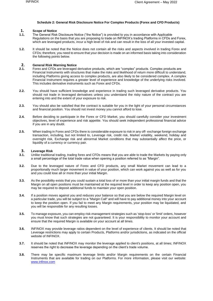## **Schedule 2: General Risk Disclosure Notice For Complex Products (Forex and CFD Products)**

# **1. Scope of Notice**<br>**1.1.** The General Risk

- **1.1.** The General Risk Disclosure Notice ("the Notice") is provided to you in accordance with Applicable Regulations on the basis that you are proposing to trade on INFINOX's trading Platforms in CFDs and Forex, which are leveraged products, incur a high level of risk and can result in the loss of all your invested capital.
- **1.2.** It should be noted that the Notice does not contain all the risks and aspects involved in trading Forex and CFDs; therefore, you need to ensure that your decision is made on an informed basis taking into consideration the following points below.

# **2. General Risk Warning Notice**<br>**2.1.** Forex and CFDs are leveraged

- Forex and CFDs are leveraged derivative products, which are "complex" products. Complex products are Financial Instruments with structures that make the risks and likelihood of return more difficult to understand, including Platforms giving access to complex products, are also likely to be considered complex. A complex Financial Instrument requires a greater level of experience and knowledge of the underlying risks involved. This includes derivative instruments such as Forex and CFDs.
- **2.2.** You should have sufficient knowledge and experience in trading such leveraged derivative products. You should not trade in leveraged derivatives unless you understand the risky nature of the contract you are entering into and the extent of your exposure to risk.
- **2.3.** You should also be satisfied that the contract is suitable for you in the light of your personal circumstances and financial position. You should not invest money you cannot afford to lose.
- **2.4.** Before deciding to participate in the Forex or CFD Market, you should carefully consider your investment objectives, level of experience and risk appetite. You should seek independent professional financial advice if you are in any doubt.
- **2.5.** When trading in Forex and CFDs there is considerable exposure to risk in any off- exchange foreign exchange transaction, including, but not limited to, Leverage risk, credit risk, Market volatility, weekend, holiday and overnight risk, Exchange risk and abnormal Market conditions that may substantially affect the price, or liquidity of a currency or currency pair.

# **3. Leverage Risk**

- **3.1.** Unlike traditional trading, trading forex and CFDs means that you are able to trade the Markets by paying only a small percentage of the total trade value when opening a position referred to as "Margin".
- **3.2.** Due to the leveraged nature of Forex and CFD products, any small Market movement can lead to a proportionally much larger movement in value of your position, which can work against you as well as for you and you could lose all or more than your initial Margin.
- **3.3.** As the possibility exists that you could sustain a total loss of or more than your initial margin funds and that the Margin on all open positions must be maintained at the required level in order to keep any position open, you may be required to deposit additional funds to maintain your open position.
- **3.4.** If a position moves against you and reduces your balance so that you are below the required Margin level on a particular trade, you will be subject to a "Margin Call" and will have to pay additional money into your account to keep the position open. If you fail to meet any Margin requirements, your position may be liquidated, and you will be responsible for any resulting losses.
- **3.5.** To manage exposure, you can employ risk-management strategies such as 'stop-loss' or 'limit' orders, however you must know that such strategies are not guaranteed. It is your responsibility to monitor your account and ensure that the required Margin is available on your account at all times.
- **3.6.** INFINOX may provide leverage ratios dependent on the level of experience of clients. It should be noted that Leverage restrictions may apply to certain Products, Platforms and/or jurisdictions, as indicated on the official website of INFINOX.
- **3.7.** It should be noted that INFINOX may monitor the leverage applied to client's positions, at all times; INFINOX reserves the right to decrease the leverage depending on the client's trade volume.
- **3.8.** There may be specific maximum leverage limits and/or Margin requirements on the certain Financial Instruments that are available for trading on our Platforms. For more information, please visit our website: [www.infinox.com](http://www.infinox.com/)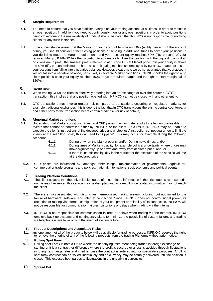# **4. Margin Requirement**

- **4.1.** You need to ensure that you have sufficient Margin on your trading account, at all times, in order to maintain an open position. In addition, you need to continuously monitor any open positions in order to avoid positions being closed due to the unavailability of funds; it should be noted that INFINOX is not responsible for notifying clients for any such instances.
- **4.2.** If the circumstance arises that the Margin on your account falls below 80% (eighty percent) of the account equity, you should consider either closing positions or sending in additional funds to cover your positions. If you do fail to meet the Margin requirements and your account equity reaches 50% (fifty percent) of your required Margin, INFINOX has the discretion to automatically close the position with the biggest loss or if all positions are in profit, the smallest profit (referred to as "Stop-Out") at Market price until your equity is above the 50% (fifty percent) minimum. This is a risk-mitigating mechanism employed by INFINOX to attempt to stop your account from falling into a negative balance. However, please note we do not guarantee that your account will not fall into a negative balance, particularly in adverse Market conditions. INFINOX holds the right to auto close positions once your equity reaches 100% of your required margin and the right to start margin call at 120%.

# **5. Credit Risk**

- **5.1.** When trading CFDs the client is effectively entering into an off-exchange or over-the-counter ("OTC") transaction, this implies that any position opened with INFINOX cannot be closed with any other entity.
- **5.2.** OTC transactions may involve greater risk compared to transactions occurring on regulated markets, for example traditional exchanges; this is due to the fact that in OTC transactions there is no central counterparty and either party to the transaction bears certain credit risk (or risk of default).

# **6. Abnormal Market conditions**

**6.1.** Under abnormal Market conditions, Forex and CFD prices may fluctuate rapidly to reflect unforeseeable events that cannot be controlled either by INFINOX or the client. As a result, INFINOX may be unable to execute the client's instructions at the declared price and a 'stop loss' instruction cannot guarantee to limit the losses at the set 'Stop Loss', this can lead to 'Slippage'. This may occur for example during the following scenarios:

| 6.1.1. | During or when the Market opens; and/or During news times; and/or                                                                                            |
|--------|--------------------------------------------------------------------------------------------------------------------------------------------------------------|
| 6.1.2. | During times of Market volatility, for example political uncertainty, where prices may<br>move significantly up or down and away from declared price; and/or |
| 6.1.3. | If there is insufficient liquidity in the Market for the execution of the specific volume<br>at the declared price.                                          |

**6.2.** CFD prices are influenced by, amongst other things, implementation of governmental, agricultural, commercial or trade programs and policies, national, international socioeconomic and political events.

# **7. Trading Platform Conditions**<br>**7.1.** The client accepts that the only

- **7.1.** The client accepts that the only reliable source of price related information is the price quotes represented on the real/ live server; this service may be disrupted and as a result price related information may not reach the client.
- **7.2.** There are risks associated with utilizing an internet-based trading system including, but not limited to, the failure of hardware, software, and Internet connection. Since INFINOX does not control signal power, its reception or routing via Internet, configuration of your equipment or reliability of its connection, INFINOX will not be responsible for communication failures, distortions or delays when trading via the Internet.
- **7.3.** INFINOX is not responsible for communication failures or delays when trading via the Internet. INFINOX employs back-up systems and contingency plans to minimize the possibility of system failure, and trading via telephone is available only in the event of system failure.

# **8. Product Descriptions and Associated Risks**

**8.1.** any one time, not all of the products below will be available for trading purposes. INFINOX reserves the right to remove the offering of any of the following products from the trading Platforms without prior notice.

# **9. Rolling Spot Forex**<br>**9.1.** Rolling spot Forex is

**9.1.** Rolling spot Forex is both a future where the underlying instrument being traded is foreign exchange or sterling or it is a contract for difference where the profit is secured or a loss is avoided through fluctuations in foreign exchange rates and in either case the contract is entered into for speculative purposes. A rolling spot forex contract can be 'rolled' indefinitely and no currency may be actually delivered until the position is closed. This exposes both parties to fluctuations in the underlying currencies.

# **10. Spread Bet**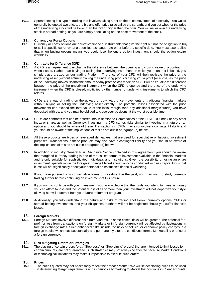**10.1.** Spread betting is a type of trading that involves taking a bet on the price movement of a security. You would generally be quoted two prices, the bid and offer price (also called the spread), and you bet whether the price of the underlying stock will be lower than the bid or higher than the offer. You will never own the underlying stock in spread betting, as you are simply speculating on the price movement of the stock.

# **11. Currency or Forex Options**<br>**11.1.** Currency or Forex options are

**11.1.** Currency or Forex options are derivative financial instruments that give the right but not the obligation to buy or sell a specific currency, at a specified exchange rate on or before a specific date. You must also realize that when buying options means you could lose the entire option investment should the option expire worthless.

# **12. Contracts for Difference (CFD)**<br>**12.1.** A CFD is an agreement to excha

- **12.1.** A CFD is an agreement to exchange the difference between the opening and closing value of a contract when closed. Rather than buying or selling the underlying instrument on which your contract is based, you simply place a trade on our trading Platform. The price of your CFD will then replicate the price of the underlying asset (without actually owning the underlying product) giving you a profit (or a loss) as the price of the underlying moves, so that the amount of any profit or loss made on a CFD will be equal to the difference between the price of the underlying instrument when the CFD is opened and the price of the underlying instrument when the CFD is closed, multiplied by the number of underlying instruments to which the CFD relates.
- **12.2.** CFDs are a way of trading on the upward or downward price movements of traditional financial markets without buying or selling the underlying asset directly. The potential losses associated with the price movements can exceed the total value of the initial margin (and any additional margin funds) you have deposited with us, and you may be obliged to close your positions at the worst possible time.
- **12.3.** CFDs are contracts that can be entered into in relation to Commodities or the FTSE-100 index or any other index or share, as well as Currency. Investing in a CFD carries risks similar to investing in a future or an option and you should be aware of these. Transactions in CFDs may also involve a contingent liability and you should be aware of the implications of this as set out in paragraph (h) below.
- **12.4.** All these products are types of leveraged derivatives that are used for speculative or hedging investment purposes. Transactions in these products may also have a contingent liability and you should be aware of the implications of this as set out in paragraph (d) below.
- **12.5.** In addition to industry General Risk Disclosure Notice contained in this Agreement, you should be aware that margined currency trading is one of the riskiest forms of investment available in the financial Markets and is only suitable for sophisticated individuals and institutions. Given the possibility of losing an entire investment, speculation in the foreign exchange Market should only be conducted with risk capital funds that if lost will not significantly affect your personal or institution's financial wellbeing.
- **12.6.** If you have pursued only conservative forms of investment in the past, you may wish to study currency trading further before continuing an investment of this nature.
- **12.7.** If you wish to continue with your investment, you acknowledge that the funds you intend to invest is money you can afford to lose and the potential loss of all or more than your investment will not jeopardize your style of living nor will it detract from your future retirement program.
- **12.8.** Additionally, you fully understand the nature and risks of trading spot Forex, currency options, CFDs or spread betting investments, and your obligations to others will not be neglected should you suffer financial losses.

# **13. Foreign Markets**

**13.1.** Foreign Markets involve different risks from Markets. In some cases, risks will be greater. The potential for profit or loss from transactions on foreign Markets or in foreign currency will be affected by fluctuations in foreign exchange rates. Such enhanced risks include the risks of political or economic policy charges in a foreign media, which may substantially and permanently alter the conditions, terms, Marketability or price of a foreign currency.

# **14. Risk Mitigating Orders or Strategies**

**14.1.** The placing of certain orders (e.g., "Stop Loss" or "Stop Limits" orders) that are intended to limit losses to certain amounts, are not guaranteed. Such strategies may not always be affected because Market Conditions or technological limitations may make it impossible to execute such orders.

# **15. Prices**

**15.1.** The prices quoted may not necessarily reflect the broader Market. We will select closing prices to be used in determining Margin requirements and in periodically marking to Market the positions in Client accounts.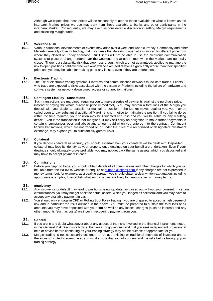Although we expect that these prices will be reasonably related to those available on what is known as the interbank Market, prices we use may vary from those available to banks and other participants in the interbank Market. Consequently, we may exercise considerable discretion in setting Margin requirements and collecting Margin funds.

# **16. Weekend Risk**

**16.1.** Various situations, developments or events may arise over a weekend when currency, Commodity and other Markets generally close for trading, that may cause the Markets to open at a significantly different price from where they closed on Friday afternoon. Our Clients will not be able to use the electronic communication systems to place or change orders over the weekend and at other times when the Markets are generally closed. There is a substantial risk that stop- loss orders, which are not guaranteed, applied to manage the risk to open positions held over the weekend will be executed at levels significantly worse than their specified price and you may be liable for making good any losses, even if they are unforeseen.

# **17. Electronic Trading**

**17.1.** The use of electronic trading systems, Platforms and communication networks to facilitate trades. Clients who trade are exposed to risks associated with the system or Platform including the failure of hardware and software system or network down timed access or connection failures.

# **18. Contingent Liability Transactions**<br>**18.1.** Such transactions are margined, reg

**18.1.** Such transactions are margined, requiring you to make a series of payments against the purchase price, instead of paying the whole purchase price immediately. You may sustain a total loss of the Margin you deposit with your dealer to establish or maintain a position. If the Market moves against you, you may be called upon to pay substantial additional Margin at short notice to maintain the position. If you fail to do so within the time required, your position may be liquidated at a loss and you will be liable for any resulting deficit. Even if the transaction is not margined, it may still carry an obligation to make further payments in certain circumstances over and above any amount paid when you entered into the contract. Contingent liability transactions, which are not traded on or under the rules of a recognized or designated investment exchange, may expose you to substantially greater risks.

#### **19. Collateral**

**19.1.** If you deposit collateral as security, you should ascertain how your collateral will be dealt with. Deposited collateral may lose its identity as your property once dealings on your behalf are undertaken. Even if your dealings should ultimately prove profitable, you may not get back the same assets, which you deposited and may have to accept payment in cash.

# **20. Commissions**

**20.1.** Before you begin to trade, you should obtain details of all commissions and other charges for which you will be liable from the INFINOX website or enquire at **support@infinox.com** If any charges are not expressed in money terms (but, for example, as a dealing spread), you should obtain a clear written explanation, including appropriate examples, to establish what such charges are likely to mean in specific money terms.

# **21. Insolvency**<br>**21.1.** Any insolver

- **21.1.** Any insolvency or default may lead to positions being liquidated or closed out without your consent. In certain circumstances, you may not get back the actual assets, which you lodged as collateral and you may have to accept any available payment in cash.
- **21.2.** You should only engage in CFD or Rolling Spot Forex trading if you are prepared to accept a high degree of risk and in particular the risks outlined in the above. You must be prepared to sustain the total loss of all amounts you may have deposited with your firm as well as any losses, charges (such as interest) and any other amounts (such as costs) we incur in recovering payment from you.

# **22. General**<br>**22.1.** If you are

- **22.1.** If you are in any doubt whatsoever about any aspect of the risks involved in the financial instruments noted in this General Risk Disclosure Notice, then we strongly recommend that you seek independent professional help or advice before continuing as your trading strategy may not be suitable or appropriate for you.
- **22.2.** Margin trading is not necessarily designed to replace existing or traditional methods of investing and is therefore not suited to everyone so you must ensure that you fully understand the risks before taking up your trading strategy.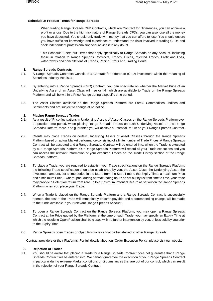#### **Schedule 3: Product Terms for Range Spreads**

When trading Range Spreads CFD Contracts, which are Contract for Differences, you can achieve a profit or a loss. Due to the high risk nature of Range Spreads CFDs, you can also lose all the money you have deposited. You should only trade with money that you can afford to lose. You should ensure you have sufficient knowledge and experience to understand the risks involved in trading CFDs and seek independent professional financial advice if in any doubt.

This Schedule 3 sets out Terms that apply specifically to Range Spreads on any Account, including those in relation to Range Spreads Contracts, Trades, Prices, rejected Trades, Profit and Loss, withdrawals and cancellations of Trades, Pricing Errors and Trading Hours.

## **1. Range Spreads Contracts**

- 1.1. A Range Spreads Contracts Constitute a Contract for difference (CFD) investment within the meaning of Securities Industry Act 2011.
- 1.2. By entering into a Range Spreads (CFD) Contract, you can speculate on whether the Market Price of an Underlying Asset of an Asset Class will rise or fall, which are available to Trade on the Range Spreads Platform and will be within a Price Range during a specific time period.
- 1.3. The Asset Classes available on the Range Spreads Platform are Forex, Commodities, Indices and Sentiments and are subject to change at no notice.

#### **2. Placing Range Spreads Trades**

- 2.1. As a result of Price fluctuations in Underlying Assets of Asset Classes on the Range Spreads Platform over a specified time period, when placing Range Spreads Trades on such Underlying Assets on the Range Spreads Platform, there is no guarantee you will achieve a Potential Return on your Range Spreads Contract.
- 2.2. Clients may place Trades on certain Underlying Assets of Asset Classes through the Range Spreads Platform based on actual Market performance consisting of a finite number of Trade Prices. A Range Spreads Contract will be accepted and a Range Spreads. Contract will be entered into, when the Trade is executed by our Range Spreads Platform. Our Range Spreads Platform will record all your Trade executions and you can access the relevant information of your executed Trades on the Trade History section of the Range Spreads Platform.
- 2.3. To place a Trade, you are required to establish your Trade specifications on the Range Spreads Platform; the following Trade specification should be established by you; the Asset Class, the Underlying Asset, the Investment amount, set a time period in the future from the Start Time to the Expiry Time, a maximum Price and a minimum Price – whereupon, during normal trading hours as set out by us from time to time, your trade may provide a Potential Return from zero up to a maximum Potential Return as set out on the Range Spreads Platform when you place your Trade.
- 2.4. When a Trade is placed on the Range Spreads Platform and a Range Spreads Contract is successfully opened, the cost of the Trade will immediately become payable and a corresponding change will be made to the funds available in your relevant Range Spreads Account.
- 2.5. To open a Range Spreads Contract on the Range Spreads Platform, you may open a Range Spreads Contract at the Price quoted by the Platform, at the time of such Trade, you may specify an Expiry Time at which the resulting Open Position shall be closed with no further intervention by you, unless sold by you prior to the Expiry Time.
- 2.6. Range Spreads open Trades or Open Positions cannot be transferred to other Range Spreads.

Contract providers or their Platforms. For full details about our Order Execution Policy, please visit our website.

#### **3. Rejection of Trades**

3.1. You should be aware that placing a Trade for a Range Spreads Contract does not guarantee that a Range Spreads Contract will be entered into. We cannot guarantee the execution of your Range Spreads Contract in particular during extreme Market conditions or circumstances that are out of our control, which can result in the rejection of your Range Spreads Contract.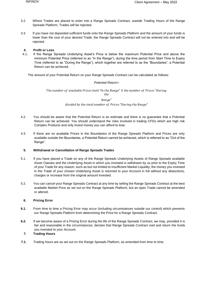- 3.2. Where Trades are placed to enter into a Range Spreads Contract, outside Trading Hours of the Range Spreads Platform, Trades will be rejected.
- 3.3. If you have not deposited sufficient funds onto the Range Spreads Platform and the amount of your funds is lower than the cost of your desired Trade, the Range Spreads Contract will not be entered into and will be rejected.

# **4. Profit or Loss**

4.1. If the Range Spreads Underlying Asset's Price is below the maximum Potential Price and above the minimum Potential Price (referred to as "In the Range"), during the time period from Start Time to Expiry Time (referred to as "During the Range"), which together are referred to as the "Boundaries", a Potential Return can be achieved.

The amount of your Potential Return on your Range Spreads Contract can be calculated as follows:

# *Potential Return=*

The number of available Prices both "In the Range" X the number of Prices "During the

> Range" divided by the total number of Prices "During the Range"

- 4.2. You should be aware that the Potential Return is an estimate and there is no guarantee that a Potential Return can be achieved. You should understand the risks involved in trading CFDs which are high risk Complex Products and only invest money you can afford to lose.
- 4.3. If there are no available Prices in the Boundaries of the Range Spreads Platform and Prices are only available outside the Boundaries, a Potential Return cannot be achieved, which is referred to as "Out of the Range".

# **5. Withdrawal or Cancellation of Range Spreads Trades**

- 5.1. If you have placed a Trade on any of the Range Spreads Underlying Assets of Range Spreads available Asset Classes and the Underlying Asset in which you invested is withdrawn by us prior to the Expiry Time of your Trade for any reason; such as but not limited to insufficient Market Liquidity; the money you invested in the Trade of your chosen Underlying Asset is returned to your Account in full without any deductions, charges or increase from the original amount invested.
- 5.2. You can cancel your Range Spreads Contract at any time by selling the Range Spreads Contract at the best available Market Price as set out on the Range Spreads Platform, but an open Trade cannot be amended or altered.

# **6. Pricing Error**

- **6.1.** From time to time a Pricing Error may occur (including circumstances outside our control) which prevents our Range Spreads Platform from determining the Price for a Range Spreads Contract.
- **6.2.** If we become aware of a Pricing Error during the life of the Range Spreads Contract, we may, provided it is fair and reasonable in the circumstances, declare that Range Spreads Contract void and return the funds you invested to your Account.

# **7. Trading Hours**

**7.1.** Trading hours are as set out on the Range Spreads Platform, as amended from time to time.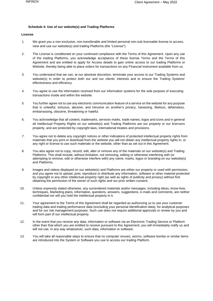### **Schedule 4: Use of our website(s) and Trading Platforms**

# **License**

- 1. We grant you a non-exclusive, non-transferable and limited personal non-sub licensable license to access, view and use our website(s) and trading Platforms (the "License").
- 2. The License is conditioned on your continued compliance with the Terms of this Agreement. Upon any use of the trading Platforms, you acknowledge acceptance of these license Terms and the Terms of this Agreement and are entitled to apply for Access details to gain online access to our trading Platforms or Website, thereby being able to place orders for transactions on any Financial Instrument available from us.
- 3. You understand that we can, at our absolute discretion, terminate your access to our Trading Systems and website(s) in order to protect both our and our clients' interests and to ensure the Trading Systems' effectiveness and efficiency.
- 4. You agree to use the information received from our information systems for the sole purpose of executing transactions inside and within the website.
- 5. You further agree not to use any electronic communication feature of a service on the website for any purpose that is unlawful, tortuous, abusive, and intrusive on another's privacy, harassing, libelous, defamatory, embarrassing, obscene, threatening or hateful.
- 6. You acknowledge that all content, trademarks, services marks, trade names, logos and icons and in general all Intellectual Property Rights on our website(s) and Trading Platforms are our property or our licensors property, and are protected by copyright laws, international treaties and provisions.
- 7. You agree not to delete any copyright notices or other indications of protected intellectual property rights from materials that you print or download from the website you will not obtain any intellectual property rights in, or any right or license to use such materials or the website, other than as set out in this Agreement.
- 8. You also agree not to copy, record, edit, alter or remove any of the materials on our website(s) and Trading Platforms. This shall include, without limitation, not removing, editing or otherwise interfering with (or attempting to remove, edit or otherwise interfere with) any name, marks, logos or branding on our website(s) and Platforms.
- 9. Images and videos displayed on our website(s) and Platforms are either our property or used with permission, and you agree not to upload, post, reproduce or distribute any information, software or other material protected by copyright or any other intellectual property right (as well as rights of publicity and privacy) without first obtaining the permission of the owner of such rights and our prior written consent.
- 10. Unless expressly stated otherwise, any surrendered materials and/or messages, including ideas, know-how, techniques, Marketing plans, information, questions, answers, suggestions, e-mails and comments, are neither confidential nor will you hold the intellectual property in it.
- 11. Your agreement to the Terms of this Agreement shall be regarded as authorizing us to use your customer trading data and trading performance data (excluding your personal identification data), for analytical purposes and for our risk management purposes. Such use does not require additional approvals or review by you and will form part of our intellectual property.
- 12. In the event that you receive any data, information or software via an Electronic Trading Service or Platform other than that which you are entitled to receive pursuant to this Agreement, you will immediately notify us and will not use, in any way whatsoever, such data, information or software.
- 13. You will take all reasonable steps to ensure that no computer viruses, worms, software bombs or similar items are introduced into the System or Software you use to access our trading Platform.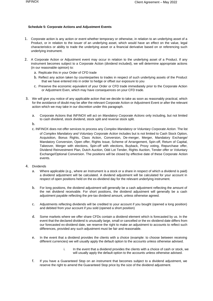# **Schedule 5: Corporate Actions and Adjustment Events**

- 1. Corporate action is any action or event whether temporary or otherwise, in relation to an underlying asset of a Product, or in relation to the issuer of an underlying asset, which would have an effect on the value, legal characteristics or ability to trade the underlying asset or a financial derivative based on or referencing such underlying instrument.
- 2. A Corporate Action or Adjustment event may occur in relation to the underlying asset of a Product. If any instrument becomes subject to a Corporate Action (dividend included), we will determine appropriate actions (in our reasonable opinion) to:
	- a. Replicate this in your Order of CFD trade
	- b. Reflect any action taken by counterparties to trades in respect of such underlying assets of the Product that we have entered into in order to hedge or offset our exposure to you
	- c. Preserve the economic equivalent of your Order or CFD trade immediately prior to the Corporate Action or Adjustment Even, which may have consequences on your CFD trade.
- 3. We will give you notice of any applicable action that we decide to take as soon as reasonably practical, which for the avoidance of doubt may be after the relevant Corporate Action or Adjustment Event or after the relevant action which we may take in our discretion under this paragraph.
	- a. Corporate Actions that INFINOX will act on *Mandatory Corporate Actions* only including, but not limited to cash dividend, stock dividend, stock split and reverse stock split.
	- b.
	- c. INFINOX does not offer services to process any *Complex Mandatory* or *Voluntary Corporate Action*. The list of *Complex Mandatory and Voluntary Corporate Action* includes but is not limited to Cash Stock Option, Acquisition, Bonus Rights, Class Action, Conversion, De-merger, Merger, Mandatory Exchange/ Mandatory Conversion, Open offer, Rights Issue, Scheme of Arrangement, Spin-off, Return of Capital, Takeover, Merger with elections, Spin-off with elections, Buyback, Proxy voting, Repurchase offer, Dividend Reinvestment Plan, Dutch Auction, Odd Lot Tender, Rights Auction, Tender offer or Voluntary Exchange/Optional Conversion. The positions will be closed by effective date of these Corporate Action events.
- 4. Dividends
	- a. Where applicable (e.g., where an Instrument is a stock or a share in respect of which a dividend is paid) a dividend adjustment will be calculated. A dividend adjustment will be calculated for your account in respect of open positions held on the ex-dividend day for the relevant underlying instrument.
	- b. For long positions, the dividend adjustment will generally be a cash adjustment reflecting the amount of the net dividend receivable. For short positions, the dividend adjustment will generally be a cash adjustment payable reflecting the pre-tax dividend amount, unless otherwise agreed.
	- c. Adjustments reflecting dividends will be credited to your account if you bought (opened a long position) and debited from your account if you sold (opened a short position)
	- d. Some markets where we offer share CFDs contain a dividend element which is forecasted by us. In the event that the declared dividend is unusually large, small or cancelled or the ex-dividend date differs from our forecasted ex-dividend date, we reserve the right to make an adjustment to accounts to reflect such differences, provided any such adjustment must be fair and reasonable.
	- e. In the event that a dividend provides the clients with a choice (example: to choose between receiving different currencies) we will usually apply the default option to the accounts unless otherwise advised.
		- i. In the event that a dividend provides the clients with a choice of cash or stock, we will usually apply the default option to the accounts unless otherwise advised.
	- f. If you have a Guaranteed Stop on an instrument that becomes subject to a dividend adjustment, we reserve the right to amend the Guaranteed Stop price by the size of the dividend adjustment.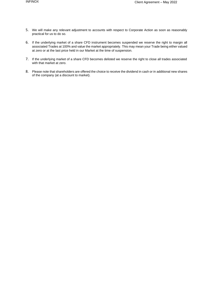- 5. We will make any relevant adjustment to accounts with respect to Corporate Action as soon as reasonably practical for us to do so.
- 6. If the underlying market of a share CFD instrument becomes suspended we reserve the right to margin all associated Trades at 100% and value the market appropriately. This may mean your Trade being either valued at zero or at the last price held in our Market at the time of suspension.
- 7. If the underlying market of a share CFD becomes delisted we reserve the right to close all trades associated with that market at zero.
- 8. Please note that shareholders are offered the choice to receive the dividend in cash or in additional new shares of the company (at a discount to market).